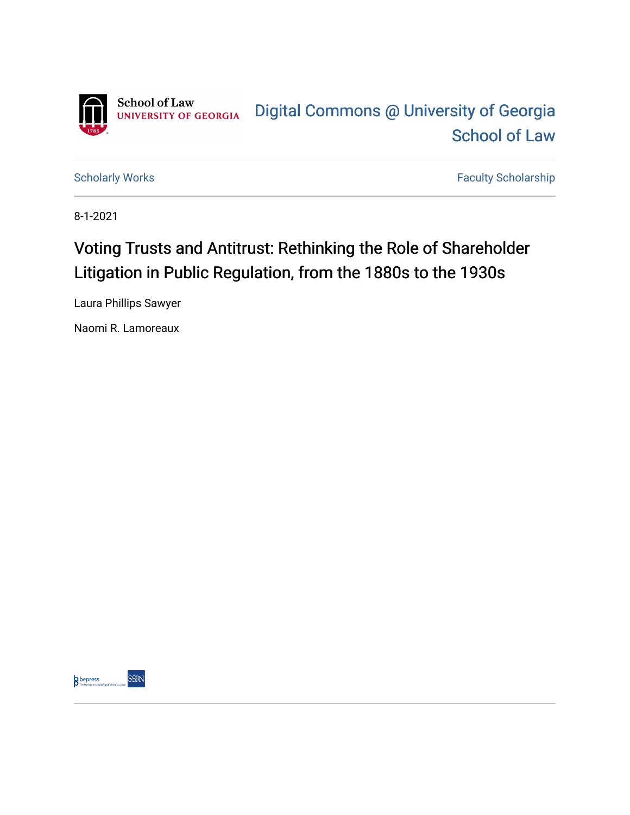

[Scholarly Works](https://digitalcommons.law.uga.edu/fac_artchop) **Faculty Scholarship** Faculty Scholarship

8-1-2021

# Voting Trusts and Antitrust: Rethinking the Role of Shareholder Litigation in Public Regulation, from the 1880s to the 1930s

Laura Phillips Sawyer

Naomi R. Lamoreaux

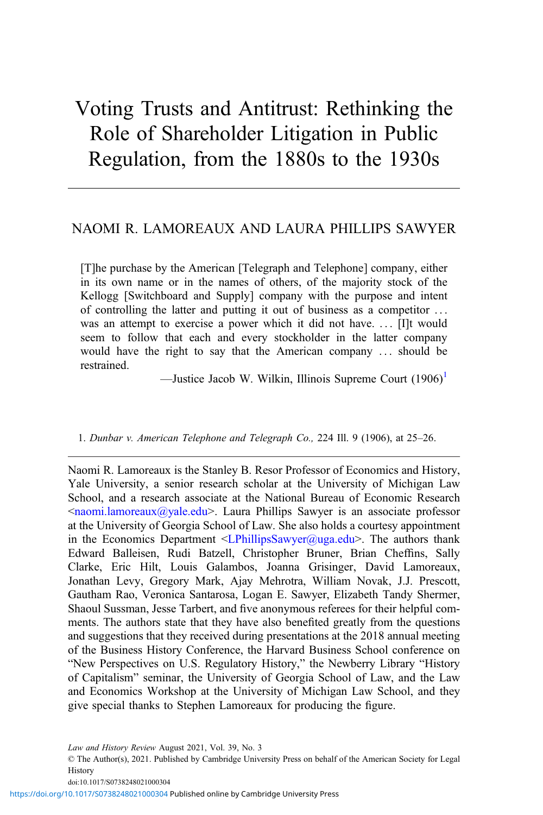# Voting Trusts and Antitrust: Rethinking the Role of Shareholder Litigation in Public Regulation, from the 1880s to the 1930s

# NAOMI R. LAMOREAUX AND LAURA PHILLIPS SAWYER

[T]he purchase by the American [Telegraph and Telephone] company, either in its own name or in the names of others, of the majority stock of the Kellogg [Switchboard and Supply] company with the purpose and intent of controlling the latter and putting it out of business as a competitor ... was an attempt to exercise a power which it did not have. ... [I]t would seem to follow that each and every stockholder in the latter company would have the right to say that the American company ... should be restrained.

—Justice Jacob W. Wilkin, Illinois Supreme Court (1906)<sup>1</sup>

#### 1. Dunbar v. American Telephone and Telegraph Co., 224 Ill. 9 (1906), at 25–26.

Naomi R. Lamoreaux is the Stanley B. Resor Professor of Economics and History, Yale University, a senior research scholar at the University of Michigan Law School, and a research associate at the National Bureau of Economic Research  $\leq$ naomi.lamoreaux $\left(\frac{\partial y}{\partial x}\right)$ . Laura Phillips Sawyer is an associate professor at the University of Georgia School of Law. She also holds a courtesy appointment in the Economics Department  $\leq$ LPhillipsSawyer@uga.edu>. The authors thank Edward Balleisen, Rudi Batzell, Christopher Bruner, Brian Cheffins, Sally Clarke, Eric Hilt, Louis Galambos, Joanna Grisinger, David Lamoreaux, Jonathan Levy, Gregory Mark, Ajay Mehrotra, William Novak, J.J. Prescott, Gautham Rao, Veronica Santarosa, Logan E. Sawyer, Elizabeth Tandy Shermer, Shaoul Sussman, Jesse Tarbert, and five anonymous referees for their helpful comments. The authors state that they have also benefited greatly from the questions and suggestions that they received during presentations at the 2018 annual meeting of the Business History Conference, the Harvard Business School conference on "New Perspectives on U.S. Regulatory History," the Newberry Library "History of Capitalism" seminar, the University of Georgia School of Law, and the Law and Economics Workshop at the University of Michigan Law School, and they give special thanks to Stephen Lamoreaux for producing the figure.

© The Author(s), 2021. Published by Cambridge University Press on behalf of the American Society for Legal History

doi:10.1017/S0738248021000304

Law and History Review August 2021, Vol. 39, No. 3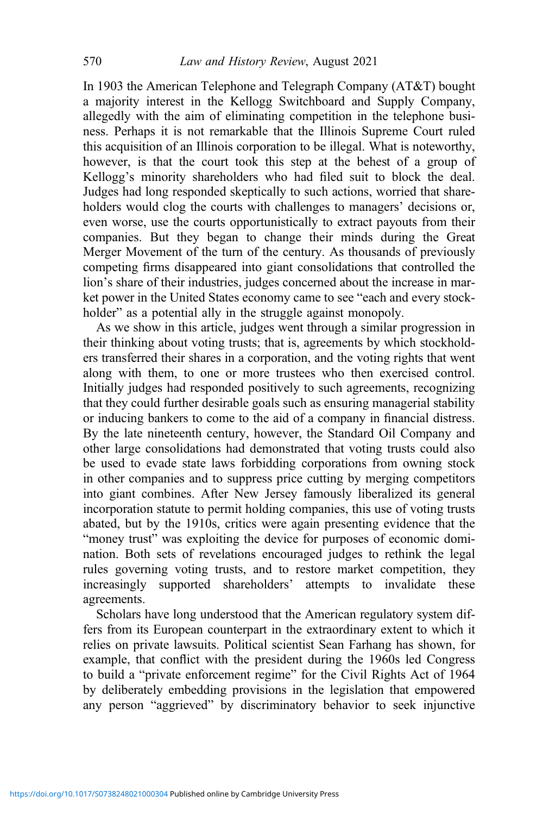In 1903 the American Telephone and Telegraph Company (AT&T) bought a majority interest in the Kellogg Switchboard and Supply Company, allegedly with the aim of eliminating competition in the telephone business. Perhaps it is not remarkable that the Illinois Supreme Court ruled this acquisition of an Illinois corporation to be illegal. What is noteworthy, however, is that the court took this step at the behest of a group of Kellogg's minority shareholders who had filed suit to block the deal. Judges had long responded skeptically to such actions, worried that shareholders would clog the courts with challenges to managers' decisions or, even worse, use the courts opportunistically to extract payouts from their companies. But they began to change their minds during the Great Merger Movement of the turn of the century. As thousands of previously competing firms disappeared into giant consolidations that controlled the lion's share of their industries, judges concerned about the increase in market power in the United States economy came to see "each and every stockholder" as a potential ally in the struggle against monopoly.

As we show in this article, judges went through a similar progression in their thinking about voting trusts; that is, agreements by which stockholders transferred their shares in a corporation, and the voting rights that went along with them, to one or more trustees who then exercised control. Initially judges had responded positively to such agreements, recognizing that they could further desirable goals such as ensuring managerial stability or inducing bankers to come to the aid of a company in financial distress. By the late nineteenth century, however, the Standard Oil Company and other large consolidations had demonstrated that voting trusts could also be used to evade state laws forbidding corporations from owning stock in other companies and to suppress price cutting by merging competitors into giant combines. After New Jersey famously liberalized its general incorporation statute to permit holding companies, this use of voting trusts abated, but by the 1910s, critics were again presenting evidence that the "money trust" was exploiting the device for purposes of economic domination. Both sets of revelations encouraged judges to rethink the legal rules governing voting trusts, and to restore market competition, they increasingly supported shareholders' attempts to invalidate these agreements.

Scholars have long understood that the American regulatory system differs from its European counterpart in the extraordinary extent to which it relies on private lawsuits. Political scientist Sean Farhang has shown, for example, that conflict with the president during the 1960s led Congress to build a "private enforcement regime" for the Civil Rights Act of 1964 by deliberately embedding provisions in the legislation that empowered any person "aggrieved" by discriminatory behavior to seek injunctive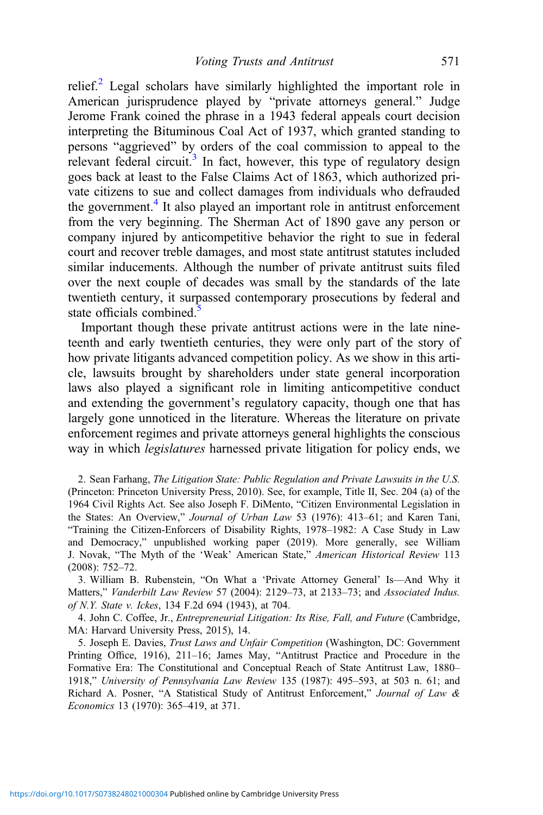relief.<sup>2</sup> Legal scholars have similarly highlighted the important role in American jurisprudence played by "private attorneys general." Judge Jerome Frank coined the phrase in a 1943 federal appeals court decision interpreting the Bituminous Coal Act of 1937, which granted standing to persons "aggrieved" by orders of the coal commission to appeal to the relevant federal circuit.<sup>3</sup> In fact, however, this type of regulatory design goes back at least to the False Claims Act of 1863, which authorized private citizens to sue and collect damages from individuals who defrauded the government.<sup>4</sup> It also played an important role in antitrust enforcement from the very beginning. The Sherman Act of 1890 gave any person or company injured by anticompetitive behavior the right to sue in federal court and recover treble damages, and most state antitrust statutes included similar inducements. Although the number of private antitrust suits filed over the next couple of decades was small by the standards of the late twentieth century, it surpassed contemporary prosecutions by federal and state officials combined. $5$ 

Important though these private antitrust actions were in the late nineteenth and early twentieth centuries, they were only part of the story of how private litigants advanced competition policy. As we show in this article, lawsuits brought by shareholders under state general incorporation laws also played a significant role in limiting anticompetitive conduct and extending the government's regulatory capacity, though one that has largely gone unnoticed in the literature. Whereas the literature on private enforcement regimes and private attorneys general highlights the conscious way in which legislatures harnessed private litigation for policy ends, we

2. Sean Farhang, The Litigation State: Public Regulation and Private Lawsuits in the U.S. (Princeton: Princeton University Press, 2010). See, for example, Title II, Sec. 204 (a) of the 1964 Civil Rights Act. See also Joseph F. DiMento, "Citizen Environmental Legislation in the States: An Overview," Journal of Urban Law 53 (1976): 413-61; and Karen Tani, "Training the Citizen-Enforcers of Disability Rights, 1978–1982: A Case Study in Law and Democracy," unpublished working paper (2019). More generally, see William J. Novak, "The Myth of the 'Weak' American State," American Historical Review 113 (2008): 752–72.

3. William B. Rubenstein, "On What a 'Private Attorney General' Is—And Why it Matters," Vanderbilt Law Review 57 (2004): 2129–73, at 2133–73; and Associated Indus. of N.Y. State v. Ickes, 134 F.2d 694 (1943), at 704.

4. John C. Coffee, Jr., Entrepreneurial Litigation: Its Rise, Fall, and Future (Cambridge, MA: Harvard University Press, 2015), 14.

5. Joseph E. Davies, Trust Laws and Unfair Competition (Washington, DC: Government Printing Office, 1916), 211–16; James May, "Antitrust Practice and Procedure in the Formative Era: The Constitutional and Conceptual Reach of State Antitrust Law, 1880– 1918," University of Pennsylvania Law Review 135 (1987): 495–593, at 503 n. 61; and Richard A. Posner, "A Statistical Study of Antitrust Enforcement," Journal of Law & Economics 13 (1970): 365–419, at 371.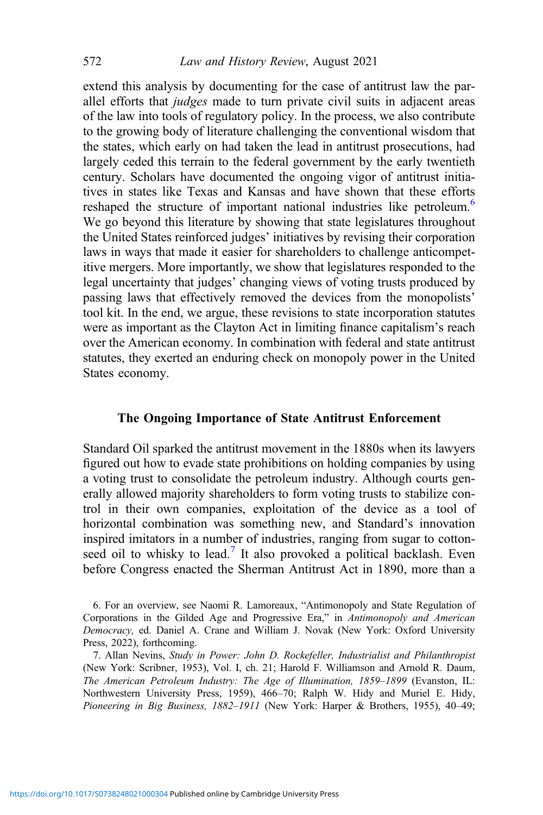extend this analysis by documenting for the case of antitrust law the parallel efforts that judges made to turn private civil suits in adjacent areas of the law into tools of regulatory policy. In the process, we also contribute to the growing body of literature challenging the conventional wisdom that the states, which early on had taken the lead in antitrust prosecutions, had largely ceded this terrain to the federal government by the early twentieth century. Scholars have documented the ongoing vigor of antitrust initiatives in states like Texas and Kansas and have shown that these efforts reshaped the structure of important national industries like petroleum.<sup>6</sup> We go beyond this literature by showing that state legislatures throughout the United States reinforced judges' initiatives by revising their corporation laws in ways that made it easier for shareholders to challenge anticompetitive mergers. More importantly, we show that legislatures responded to the legal uncertainty that judges' changing views of voting trusts produced by passing laws that effectively removed the devices from the monopolists' tool kit. In the end, we argue, these revisions to state incorporation statutes were as important as the Clayton Act in limiting finance capitalism's reach over the American economy. In combination with federal and state antitrust statutes, they exerted an enduring check on monopoly power in the United States economy.

#### The Ongoing Importance of State Antitrust Enforcement

Standard Oil sparked the antitrust movement in the 1880s when its lawyers figured out how to evade state prohibitions on holding companies by using a voting trust to consolidate the petroleum industry. Although courts generally allowed majority shareholders to form voting trusts to stabilize control in their own companies, exploitation of the device as a tool of horizontal combination was something new, and Standard's innovation inspired imitators in a number of industries, ranging from sugar to cottonseed oil to whisky to lead.<sup>7</sup> It also provoked a political backlash. Even before Congress enacted the Sherman Antitrust Act in 1890, more than a

<sup>6.</sup> For an overview, see Naomi R. Lamoreaux, "Antimonopoly and State Regulation of Corporations in the Gilded Age and Progressive Era," in Antimonopoly and American Democracy, ed. Daniel A. Crane and William J. Novak (New York: Oxford University Press, 2022), forthcoming.

<sup>7.</sup> Allan Nevins, Study in Power: John D. Rockefeller, Industrialist and Philanthropist (New York: Scribner, 1953), Vol. I, ch. 21; Harold F. Williamson and Arnold R. Daum, The American Petroleum Industry: The Age of Illumination, 1859–1899 (Evanston, IL: Northwestern University Press, 1959), 466–70; Ralph W. Hidy and Muriel E. Hidy, Pioneering in Big Business, 1882–1911 (New York: Harper & Brothers, 1955), 40–49;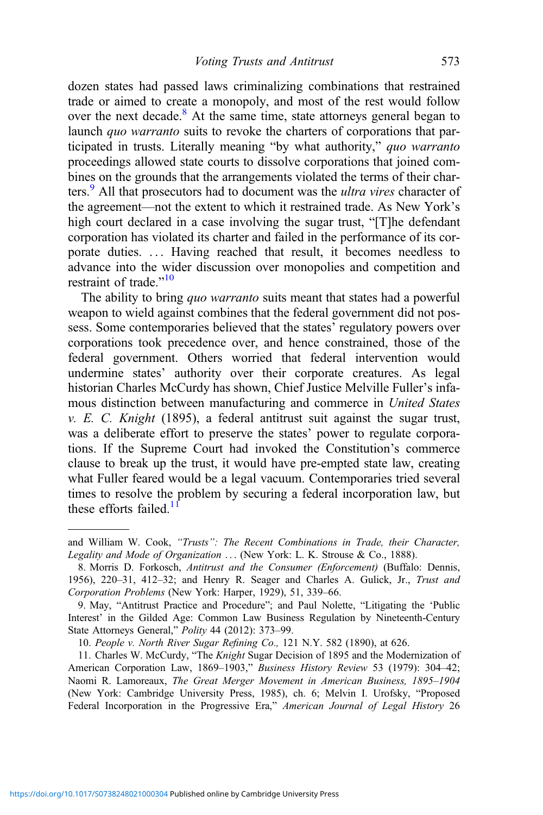dozen states had passed laws criminalizing combinations that restrained trade or aimed to create a monopoly, and most of the rest would follow over the next decade.<sup>8</sup> At the same time, state attorneys general began to launch *quo warranto* suits to revoke the charters of corporations that participated in trusts. Literally meaning "by what authority," quo warranto proceedings allowed state courts to dissolve corporations that joined combines on the grounds that the arrangements violated the terms of their charters.<sup>9</sup> All that prosecutors had to document was the *ultra vires* character of the agreement—not the extent to which it restrained trade. As New York's high court declared in a case involving the sugar trust, "[T]he defendant corporation has violated its charter and failed in the performance of its corporate duties. ... Having reached that result, it becomes needless to advance into the wider discussion over monopolies and competition and restraint of trade."<sup>10</sup>

The ability to bring quo warranto suits meant that states had a powerful weapon to wield against combines that the federal government did not possess. Some contemporaries believed that the states' regulatory powers over corporations took precedence over, and hence constrained, those of the federal government. Others worried that federal intervention would undermine states' authority over their corporate creatures. As legal historian Charles McCurdy has shown, Chief Justice Melville Fuller's infamous distinction between manufacturing and commerce in United States  $v. E. C.$  Knight (1895), a federal antitrust suit against the sugar trust, was a deliberate effort to preserve the states' power to regulate corporations. If the Supreme Court had invoked the Constitution's commerce clause to break up the trust, it would have pre-empted state law, creating what Fuller feared would be a legal vacuum. Contemporaries tried several times to resolve the problem by securing a federal incorporation law, but these efforts failed. $11$ 

and William W. Cook, "Trusts": The Recent Combinations in Trade, their Character, Legality and Mode of Organization ... (New York: L. K. Strouse & Co., 1888).

<sup>8.</sup> Morris D. Forkosch, Antitrust and the Consumer (Enforcement) (Buffalo: Dennis, 1956), 220–31, 412–32; and Henry R. Seager and Charles A. Gulick, Jr., Trust and Corporation Problems (New York: Harper, 1929), 51, 339–66.

<sup>9.</sup> May, "Antitrust Practice and Procedure"; and Paul Nolette, "Litigating the 'Public Interest' in the Gilded Age: Common Law Business Regulation by Nineteenth-Century State Attorneys General," Polity 44 (2012): 373–99.

<sup>10.</sup> People v. North River Sugar Refining Co., 121 N.Y. 582 (1890), at 626.

<sup>11.</sup> Charles W. McCurdy, "The Knight Sugar Decision of 1895 and the Modernization of American Corporation Law, 1869–1903," Business History Review 53 (1979): 304–42; Naomi R. Lamoreaux, The Great Merger Movement in American Business, 1895–1904 (New York: Cambridge University Press, 1985), ch. 6; Melvin I. Urofsky, "Proposed Federal Incorporation in the Progressive Era," American Journal of Legal History 26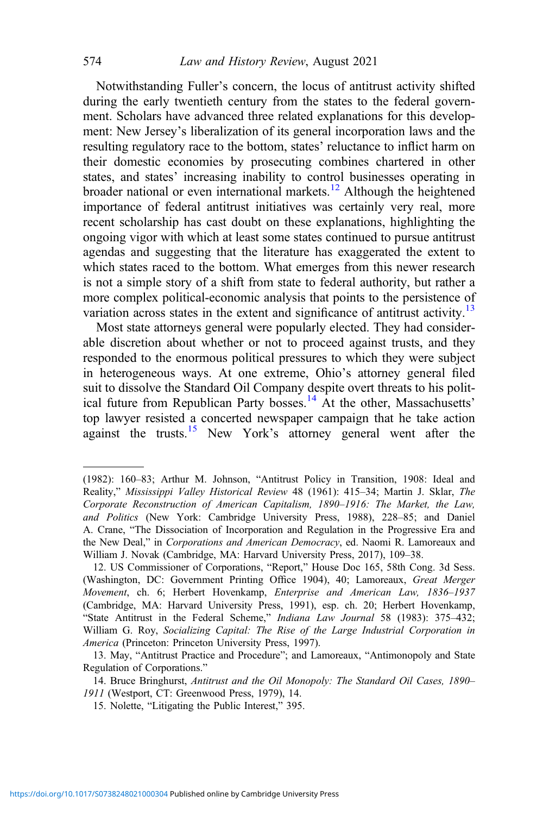Notwithstanding Fuller's concern, the locus of antitrust activity shifted during the early twentieth century from the states to the federal government. Scholars have advanced three related explanations for this development: New Jersey's liberalization of its general incorporation laws and the resulting regulatory race to the bottom, states' reluctance to inflict harm on their domestic economies by prosecuting combines chartered in other states, and states' increasing inability to control businesses operating in broader national or even international markets.<sup>12</sup> Although the heightened importance of federal antitrust initiatives was certainly very real, more recent scholarship has cast doubt on these explanations, highlighting the ongoing vigor with which at least some states continued to pursue antitrust agendas and suggesting that the literature has exaggerated the extent to which states raced to the bottom. What emerges from this newer research is not a simple story of a shift from state to federal authority, but rather a more complex political-economic analysis that points to the persistence of variation across states in the extent and significance of antitrust activity.<sup>13</sup>

Most state attorneys general were popularly elected. They had considerable discretion about whether or not to proceed against trusts, and they responded to the enormous political pressures to which they were subject in heterogeneous ways. At one extreme, Ohio's attorney general filed suit to dissolve the Standard Oil Company despite overt threats to his political future from Republican Party bosses.<sup>14</sup> At the other, Massachusetts' top lawyer resisted a concerted newspaper campaign that he take action against the trusts.<sup>15</sup> New York's attorney general went after the

<sup>(1982): 160</sup>–83; Arthur M. Johnson, "Antitrust Policy in Transition, 1908: Ideal and Reality," Mississippi Valley Historical Review 48 (1961): 415–34; Martin J. Sklar, The Corporate Reconstruction of American Capitalism, 1890–1916: The Market, the Law, and Politics (New York: Cambridge University Press, 1988), 228–85; and Daniel A. Crane, "The Dissociation of Incorporation and Regulation in the Progressive Era and the New Deal," in Corporations and American Democracy, ed. Naomi R. Lamoreaux and William J. Novak (Cambridge, MA: Harvard University Press, 2017), 109–38.

<sup>12.</sup> US Commissioner of Corporations, "Report," House Doc 165, 58th Cong. 3d Sess. (Washington, DC: Government Printing Office 1904), 40; Lamoreaux, Great Merger Movement, ch. 6; Herbert Hovenkamp, Enterprise and American Law, 1836–1937 (Cambridge, MA: Harvard University Press, 1991), esp. ch. 20; Herbert Hovenkamp, "State Antitrust in the Federal Scheme," Indiana Law Journal 58 (1983): 375–432; William G. Roy, Socializing Capital: The Rise of the Large Industrial Corporation in America (Princeton: Princeton University Press, 1997).

<sup>13.</sup> May, "Antitrust Practice and Procedure"; and Lamoreaux, "Antimonopoly and State Regulation of Corporations."

<sup>14.</sup> Bruce Bringhurst, Antitrust and the Oil Monopoly: The Standard Oil Cases, 1890-1911 (Westport, CT: Greenwood Press, 1979), 14.

<sup>15.</sup> Nolette, "Litigating the Public Interest," 395.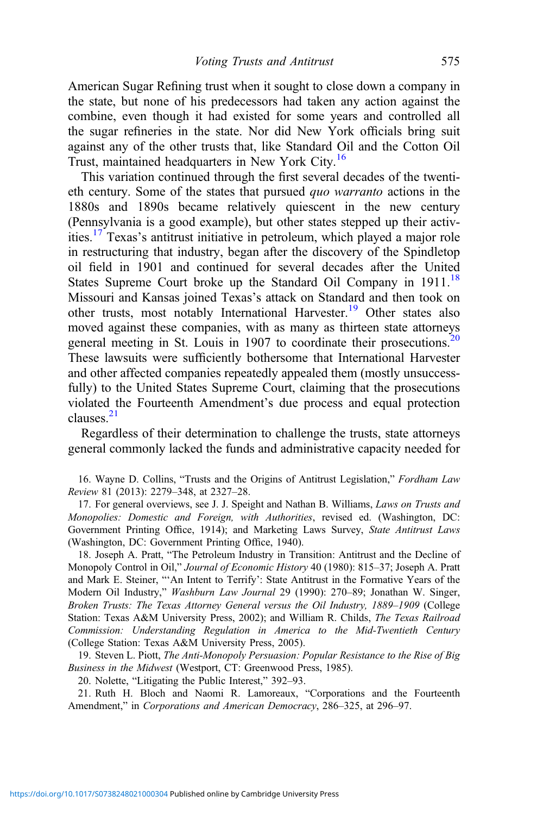American Sugar Refining trust when it sought to close down a company in the state, but none of his predecessors had taken any action against the combine, even though it had existed for some years and controlled all the sugar refineries in the state. Nor did New York officials bring suit against any of the other trusts that, like Standard Oil and the Cotton Oil Trust, maintained headquarters in New York City.<sup>16</sup>

This variation continued through the first several decades of the twentieth century. Some of the states that pursued quo warranto actions in the 1880s and 1890s became relatively quiescent in the new century (Pennsylvania is a good example), but other states stepped up their activities.<sup>17</sup> Texas's antitrust initiative in petroleum, which played a major role in restructuring that industry, began after the discovery of the Spindletop oil field in 1901 and continued for several decades after the United States Supreme Court broke up the Standard Oil Company in  $1911$ .<sup>18</sup> Missouri and Kansas joined Texas's attack on Standard and then took on other trusts, most notably International Harvester.<sup>19</sup> Other states also moved against these companies, with as many as thirteen state attorneys general meeting in St. Louis in 1907 to coordinate their prosecutions. $20$ These lawsuits were sufficiently bothersome that International Harvester and other affected companies repeatedly appealed them (mostly unsuccessfully) to the United States Supreme Court, claiming that the prosecutions violated the Fourteenth Amendment's due process and equal protection clauses. $2<sup>1</sup>$ 

Regardless of their determination to challenge the trusts, state attorneys general commonly lacked the funds and administrative capacity needed for

16. Wayne D. Collins, "Trusts and the Origins of Antitrust Legislation," Fordham Law Review 81 (2013): 2279–348, at 2327–28.

17. For general overviews, see J. J. Speight and Nathan B. Williams, Laws on Trusts and Monopolies: Domestic and Foreign, with Authorities, revised ed. (Washington, DC: Government Printing Office, 1914); and Marketing Laws Survey, State Antitrust Laws (Washington, DC: Government Printing Office, 1940).

18. Joseph A. Pratt, "The Petroleum Industry in Transition: Antitrust and the Decline of Monopoly Control in Oil," Journal of Economic History 40 (1980): 815–37; Joseph A. Pratt and Mark E. Steiner, "'An Intent to Terrify': State Antitrust in the Formative Years of the Modern Oil Industry," Washburn Law Journal 29 (1990): 270–89; Jonathan W. Singer, Broken Trusts: The Texas Attorney General versus the Oil Industry, 1889–1909 (College Station: Texas A&M University Press, 2002); and William R. Childs, The Texas Railroad Commission: Understanding Regulation in America to the Mid-Twentieth Century (College Station: Texas A&M University Press, 2005).

19. Steven L. Piott, The Anti-Monopoly Persuasion: Popular Resistance to the Rise of Big Business in the Midwest (Westport, CT: Greenwood Press, 1985).

20. Nolette, "Litigating the Public Interest," 392–93.

21. Ruth H. Bloch and Naomi R. Lamoreaux, "Corporations and the Fourteenth Amendment," in Corporations and American Democracy, 286-325, at 296-97.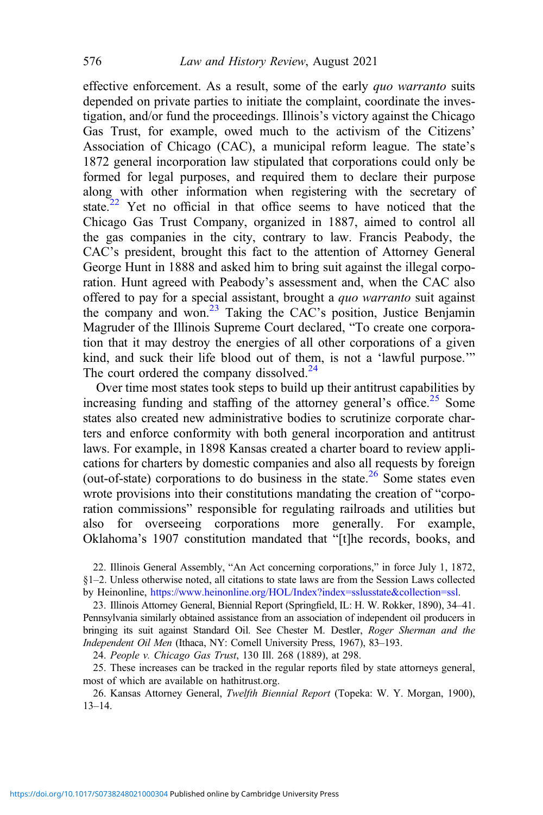effective enforcement. As a result, some of the early quo warranto suits depended on private parties to initiate the complaint, coordinate the investigation, and/or fund the proceedings. Illinois's victory against the Chicago Gas Trust, for example, owed much to the activism of the Citizens' Association of Chicago (CAC), a municipal reform league. The state's 1872 general incorporation law stipulated that corporations could only be formed for legal purposes, and required them to declare their purpose along with other information when registering with the secretary of state.<sup>22</sup> Yet no official in that office seems to have noticed that the Chicago Gas Trust Company, organized in 1887, aimed to control all the gas companies in the city, contrary to law. Francis Peabody, the CAC's president, brought this fact to the attention of Attorney General George Hunt in 1888 and asked him to bring suit against the illegal corporation. Hunt agreed with Peabody's assessment and, when the CAC also offered to pay for a special assistant, brought a quo warranto suit against the company and won.<sup>23</sup> Taking the CAC's position, Justice Benjamin Magruder of the Illinois Supreme Court declared, "To create one corporation that it may destroy the energies of all other corporations of a given kind, and suck their life blood out of them, is not a 'lawful purpose.'" The court ordered the company dissolved. $24$ 

Over time most states took steps to build up their antitrust capabilities by increasing funding and staffing of the attorney general's office.<sup>25</sup> Some states also created new administrative bodies to scrutinize corporate charters and enforce conformity with both general incorporation and antitrust laws. For example, in 1898 Kansas created a charter board to review applications for charters by domestic companies and also all requests by foreign (out-of-state) corporations to do business in the state.<sup>26</sup> Some states even wrote provisions into their constitutions mandating the creation of "corporation commissions" responsible for regulating railroads and utilities but also for overseeing corporations more generally. For example, Oklahoma's 1907 constitution mandated that "[t]he records, books, and

22. Illinois General Assembly, "An Act concerning corporations," in force July 1, 1872, §1–2. Unless otherwise noted, all citations to state laws are from the Session Laws collected by Heinonline, <https://www.heinonline.org/HOL/Index?index=sslusstate&collection=ssl>.

23. Illinois Attorney General, Biennial Report (Springfield, IL: H. W. Rokker, 1890), 34–41. Pennsylvania similarly obtained assistance from an association of independent oil producers in bringing its suit against Standard Oil. See Chester M. Destler, Roger Sherman and the Independent Oil Men (Ithaca, NY: Cornell University Press, 1967), 83–193.

24. People v. Chicago Gas Trust, 130 Ill. 268 (1889), at 298.

25. These increases can be tracked in the regular reports filed by state attorneys general, most of which are available on hathitrust.org.

26. Kansas Attorney General, Twelfth Biennial Report (Topeka: W. Y. Morgan, 1900), 13–14.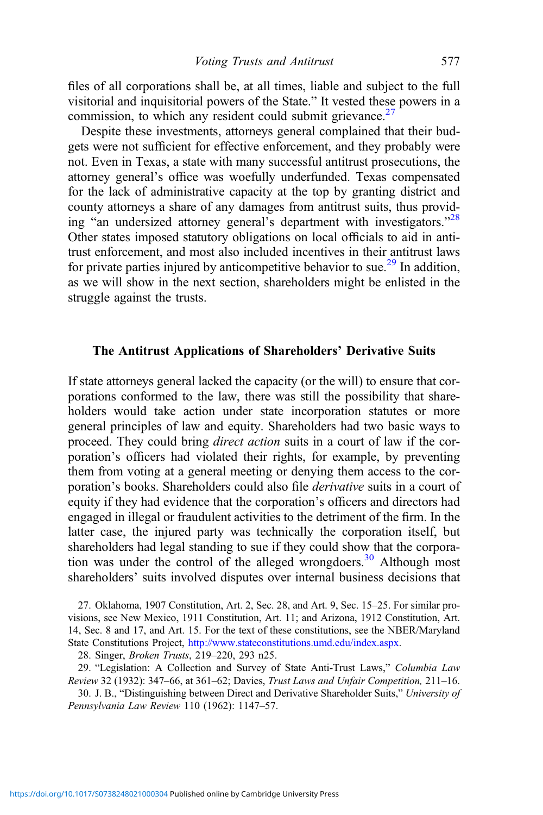files of all corporations shall be, at all times, liable and subject to the full visitorial and inquisitorial powers of the State." It vested these powers in a commission, to which any resident could submit grievance. $27$ 

Despite these investments, attorneys general complained that their budgets were not sufficient for effective enforcement, and they probably were not. Even in Texas, a state with many successful antitrust prosecutions, the attorney general's office was woefully underfunded. Texas compensated for the lack of administrative capacity at the top by granting district and county attorneys a share of any damages from antitrust suits, thus providing "an undersized attorney general's department with investigators."<sup>28</sup> Other states imposed statutory obligations on local officials to aid in antitrust enforcement, and most also included incentives in their antitrust laws for private parties injured by anticompetitive behavior to sue.<sup>29</sup> In addition, as we will show in the next section, shareholders might be enlisted in the struggle against the trusts.

#### The Antitrust Applications of Shareholders' Derivative Suits

If state attorneys general lacked the capacity (or the will) to ensure that corporations conformed to the law, there was still the possibility that shareholders would take action under state incorporation statutes or more general principles of law and equity. Shareholders had two basic ways to proceed. They could bring *direct action* suits in a court of law if the corporation's officers had violated their rights, for example, by preventing them from voting at a general meeting or denying them access to the corporation's books. Shareholders could also file derivative suits in a court of equity if they had evidence that the corporation's officers and directors had engaged in illegal or fraudulent activities to the detriment of the firm. In the latter case, the injured party was technically the corporation itself, but shareholders had legal standing to sue if they could show that the corporation was under the control of the alleged wrongdoers.<sup>30</sup> Although most shareholders' suits involved disputes over internal business decisions that

27. Oklahoma, 1907 Constitution, Art. 2, Sec. 28, and Art. 9, Sec. 15–25. For similar provisions, see New Mexico, 1911 Constitution, Art. 11; and Arizona, 1912 Constitution, Art. 14, Sec. 8 and 17, and Art. 15. For the text of these constitutions, see the NBER/Maryland State Constitutions Project, <http://www.stateconstitutions.umd.edu/index.aspx>.

28. Singer, Broken Trusts, 219–220, 293 n25.

29. "Legislation: A Collection and Survey of State Anti-Trust Laws," Columbia Law Review 32 (1932): 347–66, at 361–62; Davies, Trust Laws and Unfair Competition, 211–16.

30. J. B., "Distinguishing between Direct and Derivative Shareholder Suits," University of Pennsylvania Law Review 110 (1962): 1147–57.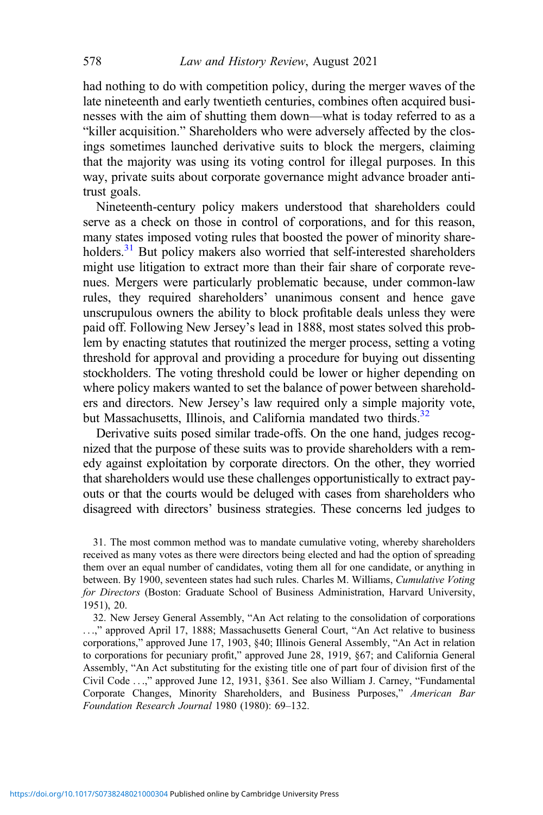had nothing to do with competition policy, during the merger waves of the late nineteenth and early twentieth centuries, combines often acquired businesses with the aim of shutting them down—what is today referred to as a "killer acquisition." Shareholders who were adversely affected by the closings sometimes launched derivative suits to block the mergers, claiming that the majority was using its voting control for illegal purposes. In this way, private suits about corporate governance might advance broader antitrust goals.

Nineteenth-century policy makers understood that shareholders could serve as a check on those in control of corporations, and for this reason, many states imposed voting rules that boosted the power of minority shareholders.<sup>31</sup> But policy makers also worried that self-interested shareholders might use litigation to extract more than their fair share of corporate revenues. Mergers were particularly problematic because, under common-law rules, they required shareholders' unanimous consent and hence gave unscrupulous owners the ability to block profitable deals unless they were paid off. Following New Jersey's lead in 1888, most states solved this problem by enacting statutes that routinized the merger process, setting a voting threshold for approval and providing a procedure for buying out dissenting stockholders. The voting threshold could be lower or higher depending on where policy makers wanted to set the balance of power between shareholders and directors. New Jersey's law required only a simple majority vote, but Massachusetts, Illinois, and California mandated two thirds.<sup>32</sup>

Derivative suits posed similar trade-offs. On the one hand, judges recognized that the purpose of these suits was to provide shareholders with a remedy against exploitation by corporate directors. On the other, they worried that shareholders would use these challenges opportunistically to extract payouts or that the courts would be deluged with cases from shareholders who disagreed with directors' business strategies. These concerns led judges to

31. The most common method was to mandate cumulative voting, whereby shareholders received as many votes as there were directors being elected and had the option of spreading them over an equal number of candidates, voting them all for one candidate, or anything in between. By 1900, seventeen states had such rules. Charles M. Williams, Cumulative Voting for Directors (Boston: Graduate School of Business Administration, Harvard University, 1951), 20.

32. New Jersey General Assembly, "An Act relating to the consolidation of corporations ...," approved April 17, 1888; Massachusetts General Court, "An Act relative to business corporations," approved June 17, 1903, §40; Illinois General Assembly, "An Act in relation to corporations for pecuniary profit," approved June 28, 1919, §67; and California General Assembly, "An Act substituting for the existing title one of part four of division first of the Civil Code ...," approved June 12, 1931, §361. See also William J. Carney, "Fundamental Corporate Changes, Minority Shareholders, and Business Purposes," American Bar Foundation Research Journal 1980 (1980): 69–132.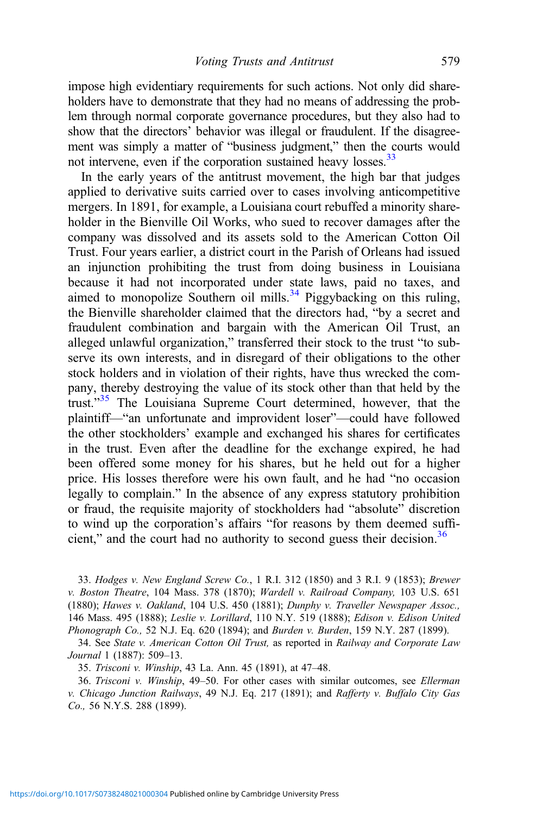impose high evidentiary requirements for such actions. Not only did shareholders have to demonstrate that they had no means of addressing the problem through normal corporate governance procedures, but they also had to show that the directors' behavior was illegal or fraudulent. If the disagreement was simply a matter of "business judgment," then the courts would not intervene, even if the corporation sustained heavy losses.<sup>33</sup>

In the early years of the antitrust movement, the high bar that judges applied to derivative suits carried over to cases involving anticompetitive mergers. In 1891, for example, a Louisiana court rebuffed a minority shareholder in the Bienville Oil Works, who sued to recover damages after the company was dissolved and its assets sold to the American Cotton Oil Trust. Four years earlier, a district court in the Parish of Orleans had issued an injunction prohibiting the trust from doing business in Louisiana because it had not incorporated under state laws, paid no taxes, and aimed to monopolize Southern oil mills.<sup>34</sup> Piggybacking on this ruling, the Bienville shareholder claimed that the directors had, "by a secret and fraudulent combination and bargain with the American Oil Trust, an alleged unlawful organization," transferred their stock to the trust "to subserve its own interests, and in disregard of their obligations to the other stock holders and in violation of their rights, have thus wrecked the company, thereby destroying the value of its stock other than that held by the trust."<sup>35</sup> The Louisiana Supreme Court determined, however, that the plaintiff—"an unfortunate and improvident loser"—could have followed the other stockholders' example and exchanged his shares for certificates in the trust. Even after the deadline for the exchange expired, he had been offered some money for his shares, but he held out for a higher price. His losses therefore were his own fault, and he had "no occasion legally to complain." In the absence of any express statutory prohibition or fraud, the requisite majority of stockholders had "absolute" discretion to wind up the corporation's affairs "for reasons by them deemed sufficient," and the court had no authority to second guess their decision.<sup>36</sup>

33. Hodges v. New England Screw Co., 1 R.I. 312 (1850) and 3 R.I. 9 (1853); Brewer v. Boston Theatre, 104 Mass. 378 (1870); Wardell v. Railroad Company, 103 U.S. 651 (1880); Hawes v. Oakland, 104 U.S. 450 (1881); Dunphy v. Traveller Newspaper Assoc., 146 Mass. 495 (1888); Leslie v. Lorillard, 110 N.Y. 519 (1888); Edison v. Edison United Phonograph Co., 52 N.J. Eq. 620 (1894); and Burden v. Burden, 159 N.Y. 287 (1899).

34. See State v. American Cotton Oil Trust, as reported in Railway and Corporate Law Journal 1 (1887): 509–13.

35. Trisconi v. Winship, 43 La. Ann. 45 (1891), at 47–48.

36. Trisconi v. Winship, 49–50. For other cases with similar outcomes, see Ellerman v. Chicago Junction Railways, 49 N.J. Eq. 217 (1891); and Rafferty v. Buffalo City Gas Co., 56 N.Y.S. 288 (1899).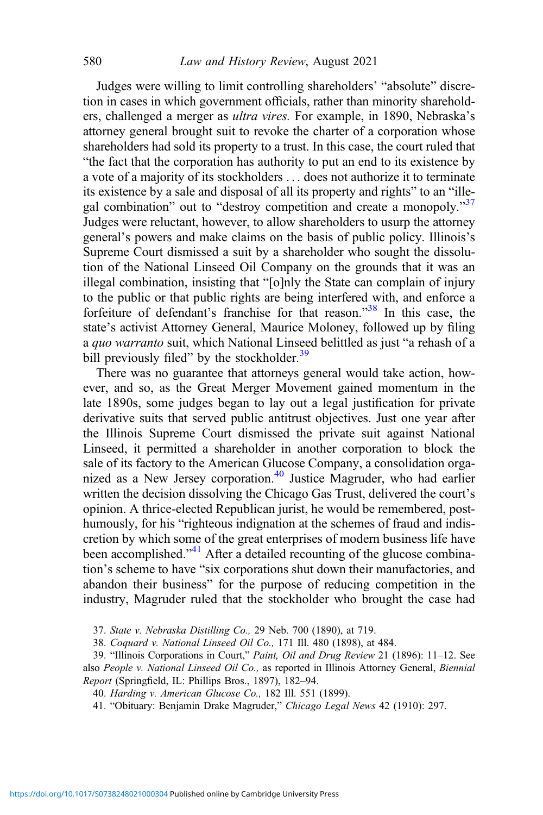Judges were willing to limit controlling shareholders' "absolute" discretion in cases in which government officials, rather than minority shareholders, challenged a merger as ultra vires. For example, in 1890, Nebraska's attorney general brought suit to revoke the charter of a corporation whose shareholders had sold its property to a trust. In this case, the court ruled that "the fact that the corporation has authority to put an end to its existence by a vote of a majority of its stockholders ... does not authorize it to terminate its existence by a sale and disposal of all its property and rights" to an "illegal combination" out to "destroy competition and create a monopoly."<sup>37</sup> Judges were reluctant, however, to allow shareholders to usurp the attorney general's powers and make claims on the basis of public policy. Illinois's Supreme Court dismissed a suit by a shareholder who sought the dissolution of the National Linseed Oil Company on the grounds that it was an illegal combination, insisting that "[o]nly the State can complain of injury to the public or that public rights are being interfered with, and enforce a forfeiture of defendant's franchise for that reason."<sup>38</sup> In this case, the state's activist Attorney General, Maurice Moloney, followed up by filing a quo warranto suit, which National Linseed belittled as just "a rehash of a bill previously filed" by the stockholder.<sup>39</sup>

There was no guarantee that attorneys general would take action, however, and so, as the Great Merger Movement gained momentum in the late 1890s, some judges began to lay out a legal justification for private derivative suits that served public antitrust objectives. Just one year after the Illinois Supreme Court dismissed the private suit against National Linseed, it permitted a shareholder in another corporation to block the sale of its factory to the American Glucose Company, a consolidation organized as a New Jersey corporation.<sup>40</sup> Justice Magruder, who had earlier written the decision dissolving the Chicago Gas Trust, delivered the court's opinion. A thrice-elected Republican jurist, he would be remembered, posthumously, for his "righteous indignation at the schemes of fraud and indiscretion by which some of the great enterprises of modern business life have been accomplished."<sup>41</sup> After a detailed recounting of the glucose combination's scheme to have "six corporations shut down their manufactories, and abandon their business" for the purpose of reducing competition in the industry, Magruder ruled that the stockholder who brought the case had

37. State v. Nebraska Distilling Co., 29 Neb. 700 (1890), at 719.

38. Coquard v. National Linseed Oil Co., 171 Ill. 480 (1898), at 484.

39. "Illinois Corporations in Court," Paint, Oil and Drug Review 21 (1896): 11–12. See also People v. National Linseed Oil Co., as reported in Illinois Attorney General, Biennial Report (Springfield, IL: Phillips Bros., 1897), 182–94.

40. Harding v. American Glucose Co., 182 Ill. 551 (1899).

41. "Obituary: Benjamin Drake Magruder," Chicago Legal News 42 (1910): 297.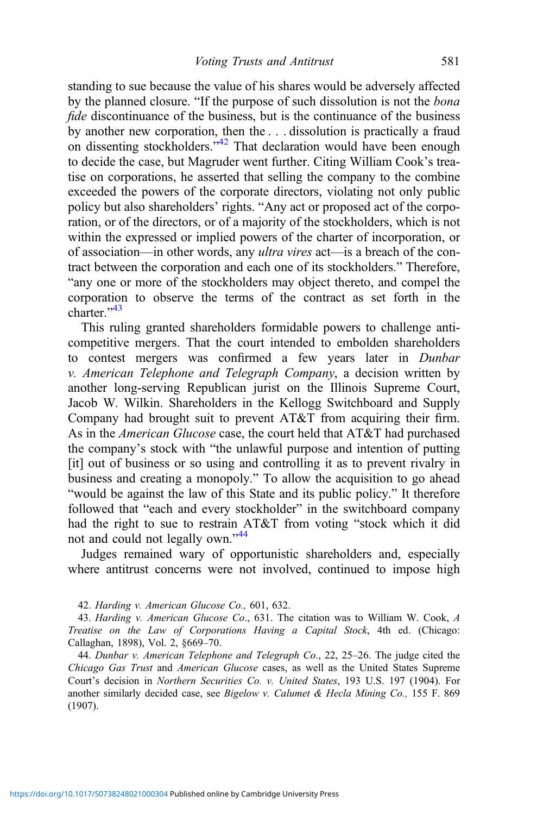standing to sue because the value of his shares would be adversely affected by the planned closure. "If the purpose of such dissolution is not the bona fide discontinuance of the business, but is the continuance of the business by another new corporation, then the . . . dissolution is practically a fraud on dissenting stockholders.<sup>42</sup> That declaration would have been enough to decide the case, but Magruder went further. Citing William Cook's treatise on corporations, he asserted that selling the company to the combine exceeded the powers of the corporate directors, violating not only public policy but also shareholders' rights. "Any act or proposed act of the corporation, or of the directors, or of a majority of the stockholders, which is not within the expressed or implied powers of the charter of incorporation, or of association—in other words, any ultra vires act—is a breach of the contract between the corporation and each one of its stockholders." Therefore, "any one or more of the stockholders may object thereto, and compel the corporation to observe the terms of the contract as set forth in the charter."<sup>43</sup>

This ruling granted shareholders formidable powers to challenge anticompetitive mergers. That the court intended to embolden shareholders to contest mergers was confirmed a few years later in Dunbar v. American Telephone and Telegraph Company, a decision written by another long-serving Republican jurist on the Illinois Supreme Court, Jacob W. Wilkin. Shareholders in the Kellogg Switchboard and Supply Company had brought suit to prevent AT&T from acquiring their firm. As in the American Glucose case, the court held that AT&T had purchased the company's stock with "the unlawful purpose and intention of putting [it] out of business or so using and controlling it as to prevent rivalry in business and creating a monopoly." To allow the acquisition to go ahead "would be against the law of this State and its public policy." It therefore followed that "each and every stockholder" in the switchboard company had the right to sue to restrain AT&T from voting "stock which it did not and could not legally own."<sup>44</sup>

Judges remained wary of opportunistic shareholders and, especially where antitrust concerns were not involved, continued to impose high

42. Harding v. American Glucose Co., 601, 632.

43. Harding v. American Glucose Co., 631. The citation was to William W. Cook, A Treatise on the Law of Corporations Having a Capital Stock, 4th ed. (Chicago: Callaghan, 1898), Vol. 2, §669–70.

44. Dunbar v. American Telephone and Telegraph Co., 22, 25-26. The judge cited the Chicago Gas Trust and American Glucose cases, as well as the United States Supreme Court's decision in Northern Securities Co. v. United States, 193 U.S. 197 (1904). For another similarly decided case, see Bigelow v. Calumet & Hecla Mining Co., 155 F. 869 (1907).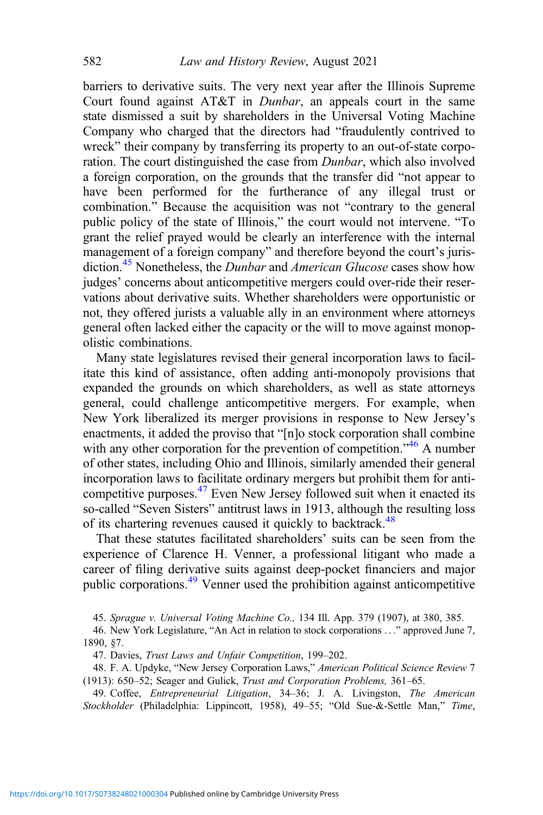barriers to derivative suits. The very next year after the Illinois Supreme Court found against AT&T in Dunbar, an appeals court in the same state dismissed a suit by shareholders in the Universal Voting Machine Company who charged that the directors had "fraudulently contrived to wreck" their company by transferring its property to an out-of-state corporation. The court distinguished the case from Dunbar, which also involved a foreign corporation, on the grounds that the transfer did "not appear to have been performed for the furtherance of any illegal trust or combination." Because the acquisition was not "contrary to the general public policy of the state of Illinois," the court would not intervene. "To grant the relief prayed would be clearly an interference with the internal management of a foreign company" and therefore beyond the court's jurisdiction.<sup>45</sup> Nonetheless, the *Dunbar* and *American Glucose* cases show how judges' concerns about anticompetitive mergers could over-ride their reservations about derivative suits. Whether shareholders were opportunistic or not, they offered jurists a valuable ally in an environment where attorneys general often lacked either the capacity or the will to move against monopolistic combinations.

Many state legislatures revised their general incorporation laws to facilitate this kind of assistance, often adding anti-monopoly provisions that expanded the grounds on which shareholders, as well as state attorneys general, could challenge anticompetitive mergers. For example, when New York liberalized its merger provisions in response to New Jersey's enactments, it added the proviso that "[n]o stock corporation shall combine with any other corporation for the prevention of competition."<sup>46</sup> A number of other states, including Ohio and Illinois, similarly amended their general incorporation laws to facilitate ordinary mergers but prohibit them for anticompetitive purposes.<sup>47</sup> Even New Jersey followed suit when it enacted its so-called "Seven Sisters" antitrust laws in 1913, although the resulting loss of its chartering revenues caused it quickly to backtrack.<sup>48</sup>

That these statutes facilitated shareholders' suits can be seen from the experience of Clarence H. Venner, a professional litigant who made a career of filing derivative suits against deep-pocket financiers and major public corporations.49 Venner used the prohibition against anticompetitive

45. Sprague v. Universal Voting Machine Co., 134 Ill. App. 379 (1907), at 380, 385.

46. New York Legislature, "An Act in relation to stock corporations ..." approved June 7, 1890, §7.

47. Davies, Trust Laws and Unfair Competition, 199–202.

48. F. A. Updyke, "New Jersey Corporation Laws," American Political Science Review 7 (1913): 650–52; Seager and Gulick, Trust and Corporation Problems, 361–65.

49. Coffee, Entrepreneurial Litigation, 34–36; J. A. Livingston, The American Stockholder (Philadelphia: Lippincott, 1958), 49–55; "Old Sue-&-Settle Man," Time,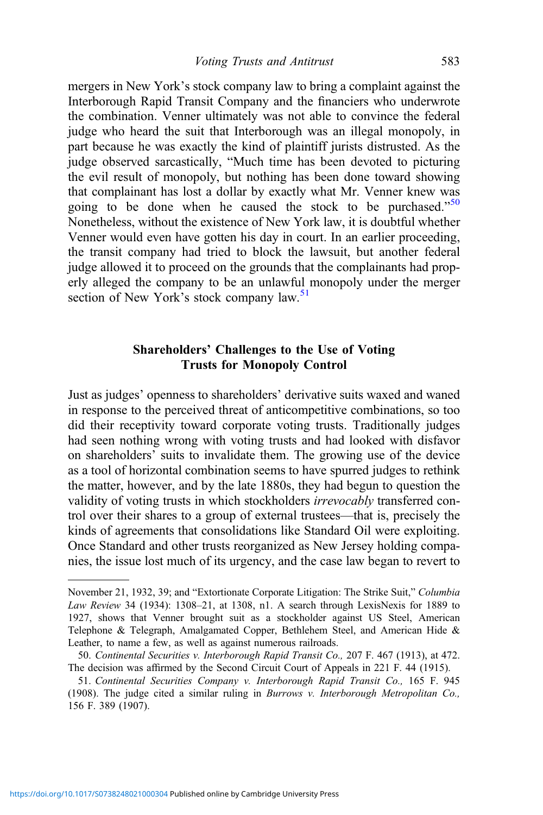mergers in New York's stock company law to bring a complaint against the Interborough Rapid Transit Company and the financiers who underwrote the combination. Venner ultimately was not able to convince the federal judge who heard the suit that Interborough was an illegal monopoly, in part because he was exactly the kind of plaintiff jurists distrusted. As the judge observed sarcastically, "Much time has been devoted to picturing the evil result of monopoly, but nothing has been done toward showing that complainant has lost a dollar by exactly what Mr. Venner knew was going to be done when he caused the stock to be purchased."<sup>50</sup> Nonetheless, without the existence of New York law, it is doubtful whether Venner would even have gotten his day in court. In an earlier proceeding, the transit company had tried to block the lawsuit, but another federal judge allowed it to proceed on the grounds that the complainants had properly alleged the company to be an unlawful monopoly under the merger section of New York's stock company law.<sup>51</sup>

# Shareholders' Challenges to the Use of Voting Trusts for Monopoly Control

Just as judges' openness to shareholders' derivative suits waxed and waned in response to the perceived threat of anticompetitive combinations, so too did their receptivity toward corporate voting trusts. Traditionally judges had seen nothing wrong with voting trusts and had looked with disfavor on shareholders' suits to invalidate them. The growing use of the device as a tool of horizontal combination seems to have spurred judges to rethink the matter, however, and by the late 1880s, they had begun to question the validity of voting trusts in which stockholders *irrevocably* transferred control over their shares to a group of external trustees—that is, precisely the kinds of agreements that consolidations like Standard Oil were exploiting. Once Standard and other trusts reorganized as New Jersey holding companies, the issue lost much of its urgency, and the case law began to revert to

November 21, 1932, 39; and "Extortionate Corporate Litigation: The Strike Suit," Columbia Law Review 34 (1934): 1308–21, at 1308, n1. A search through LexisNexis for 1889 to 1927, shows that Venner brought suit as a stockholder against US Steel, American Telephone & Telegraph, Amalgamated Copper, Bethlehem Steel, and American Hide & Leather, to name a few, as well as against numerous railroads.

<sup>50.</sup> Continental Securities v. Interborough Rapid Transit Co., 207 F. 467 (1913), at 472. The decision was affirmed by the Second Circuit Court of Appeals in 221 F. 44 (1915).

<sup>51.</sup> Continental Securities Company v. Interborough Rapid Transit Co., 165 F. 945 (1908). The judge cited a similar ruling in Burrows v. Interborough Metropolitan Co., 156 F. 389 (1907).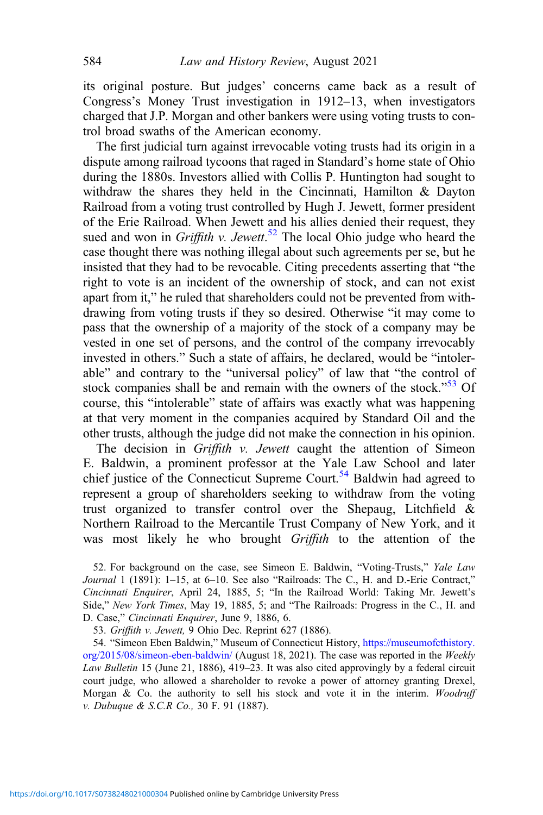its original posture. But judges' concerns came back as a result of Congress's Money Trust investigation in 1912–13, when investigators charged that J.P. Morgan and other bankers were using voting trusts to control broad swaths of the American economy.

The first judicial turn against irrevocable voting trusts had its origin in a dispute among railroad tycoons that raged in Standard's home state of Ohio during the 1880s. Investors allied with Collis P. Huntington had sought to withdraw the shares they held in the Cincinnati, Hamilton & Dayton Railroad from a voting trust controlled by Hugh J. Jewett, former president of the Erie Railroad. When Jewett and his allies denied their request, they sued and won in Griffith v. Jewett.<sup>52</sup> The local Ohio judge who heard the case thought there was nothing illegal about such agreements per se, but he insisted that they had to be revocable. Citing precedents asserting that "the right to vote is an incident of the ownership of stock, and can not exist apart from it," he ruled that shareholders could not be prevented from withdrawing from voting trusts if they so desired. Otherwise "it may come to pass that the ownership of a majority of the stock of a company may be vested in one set of persons, and the control of the company irrevocably invested in others." Such a state of affairs, he declared, would be "intolerable" and contrary to the "universal policy" of law that "the control of stock companies shall be and remain with the owners of the stock."<sup>53</sup> Of course, this "intolerable" state of affairs was exactly what was happening at that very moment in the companies acquired by Standard Oil and the other trusts, although the judge did not make the connection in his opinion.

The decision in Griffith v. Jewett caught the attention of Simeon E. Baldwin, a prominent professor at the Yale Law School and later chief justice of the Connecticut Supreme Court.<sup>54</sup> Baldwin had agreed to represent a group of shareholders seeking to withdraw from the voting trust organized to transfer control over the Shepaug, Litchfield & Northern Railroad to the Mercantile Trust Company of New York, and it was most likely he who brought *Griffith* to the attention of the

52. For background on the case, see Simeon E. Baldwin, "Voting-Trusts," Yale Law Journal 1 (1891): 1-15, at 6-10. See also "Railroads: The C., H. and D.-Erie Contract," Cincinnati Enquirer, April 24, 1885, 5; "In the Railroad World: Taking Mr. Jewett's Side," New York Times, May 19, 1885, 5; and "The Railroads: Progress in the C., H. and D. Case," Cincinnati Enquirer, June 9, 1886, 6.

53. Griffith v. Jewett, 9 Ohio Dec. Reprint 627 (1886).

54. "Simeon Eben Baldwin," Museum of Connecticut History, [https://museumofcthistory.](https://museumofcthistory.org/2015/08/simeon-eben-baldwin/) [org/2015/08/simeon-eben-baldwin/](https://museumofcthistory.org/2015/08/simeon-eben-baldwin/) (August 18, 2021). The case was reported in the Weekly Law Bulletin 15 (June 21, 1886), 419–23. It was also cited approvingly by a federal circuit court judge, who allowed a shareholder to revoke a power of attorney granting Drexel, Morgan & Co. the authority to sell his stock and vote it in the interim. Woodruff v. Dubuque & S.C.R Co., 30 F. 91 (1887).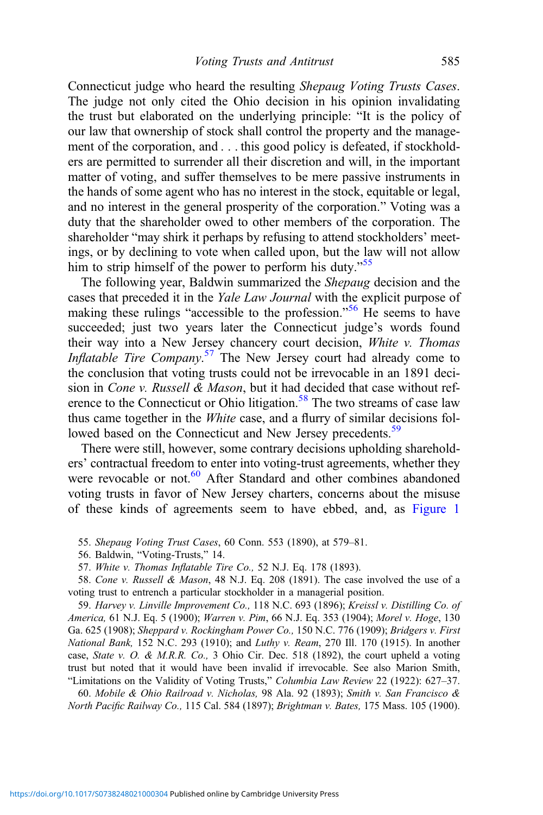Connecticut judge who heard the resulting Shepaug Voting Trusts Cases. The judge not only cited the Ohio decision in his opinion invalidating the trust but elaborated on the underlying principle: "It is the policy of our law that ownership of stock shall control the property and the management of the corporation, and . . . this good policy is defeated, if stockholders are permitted to surrender all their discretion and will, in the important matter of voting, and suffer themselves to be mere passive instruments in the hands of some agent who has no interest in the stock, equitable or legal, and no interest in the general prosperity of the corporation." Voting was a duty that the shareholder owed to other members of the corporation. The shareholder "may shirk it perhaps by refusing to attend stockholders' meetings, or by declining to vote when called upon, but the law will not allow him to strip himself of the power to perform his duty."<sup>55</sup>

The following year, Baldwin summarized the Shepaug decision and the cases that preceded it in the Yale Law Journal with the explicit purpose of making these rulings "accessible to the profession."<sup>56</sup> He seems to have succeeded; just two years later the Connecticut judge's words found their way into a New Jersey chancery court decision, White v. Thomas Inflatable Tire Company.<sup>57</sup> The New Jersey court had already come to the conclusion that voting trusts could not be irrevocable in an 1891 decision in *Cone v. Russell & Mason*, but it had decided that case without reference to the Connecticut or Ohio litigation.<sup>58</sup> The two streams of case law thus came together in the White case, and a flurry of similar decisions followed based on the Connecticut and New Jersey precedents.<sup>59</sup>

There were still, however, some contrary decisions upholding shareholders' contractual freedom to enter into voting-trust agreements, whether they were revocable or not.<sup>60</sup> After Standard and other combines abandoned voting trusts in favor of New Jersey charters, concerns about the misuse of these kinds of agreements seem to have ebbed, and, as [Figure 1](#page-18-0)

55. Shepaug Voting Trust Cases, 60 Conn. 553 (1890), at 579–81.

56. Baldwin, "Voting-Trusts," 14.

57. White v. Thomas Inflatable Tire Co., 52 N.J. Eq. 178 (1893).

58. Cone v. Russell & Mason, 48 N.J. Eq. 208 (1891). The case involved the use of a voting trust to entrench a particular stockholder in a managerial position.

59. Harvey v. Linville Improvement Co., 118 N.C. 693 (1896); Kreissl v. Distilling Co. of America, 61 N.J. Eq. 5 (1900); Warren v. Pim, 66 N.J. Eq. 353 (1904); Morel v. Hoge, 130 Ga. 625 (1908); Sheppard v. Rockingham Power Co., 150 N.C. 776 (1909); Bridgers v. First National Bank, 152 N.C. 293 (1910); and Luthy v. Ream, 270 Ill. 170 (1915). In another case, State v. O. & M.R.R. Co., 3 Ohio Cir. Dec. 518 (1892), the court upheld a voting trust but noted that it would have been invalid if irrevocable. See also Marion Smith, "Limitations on the Validity of Voting Trusts," Columbia Law Review 22 (1922): 627–37.

60. Mobile & Ohio Railroad v. Nicholas, 98 Ala. 92 (1893); Smith v. San Francisco & North Pacific Railway Co., 115 Cal. 584 (1897); Brightman v. Bates, 175 Mass. 105 (1900).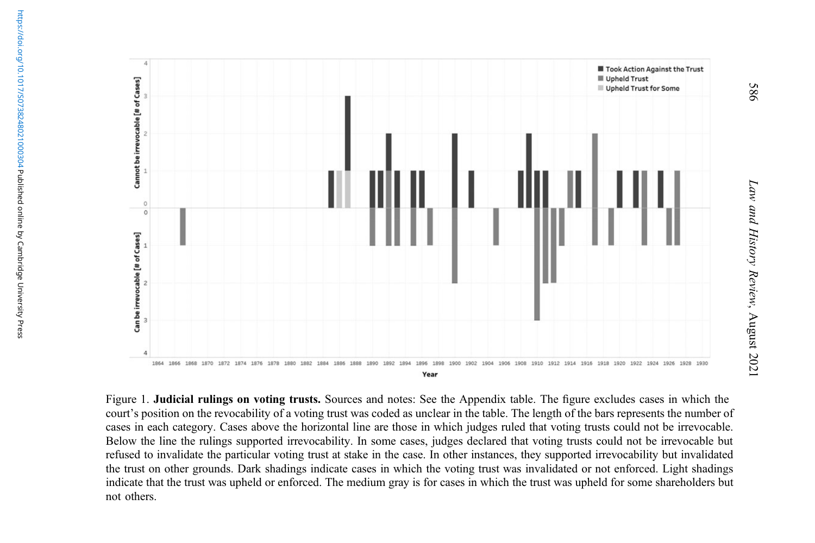<span id="page-18-0"></span>

Figure 1. Judicial rulings on voting trusts. Sources and notes: See the Appendix table. The figure excludes cases in which the court'<sup>s</sup> position on the revocability of <sup>a</sup> voting trust was coded as unclear in the table. The length of the bars represents the number of cases in each category. Cases above the horizontal line are those in which judges ruled that voting trusts could not be irrevocable. Below the line the rulings supported irrevocability. In some cases, judges declared that voting trusts could not be irrevocable but refused to invalidate the particular voting trust at stake in the case. In other instances, they supported irrevocability but invalidated the trust on other grounds. Dark shadings indicate cases in which the voting trust was invalidated or not enforced. Light shadings indicate that the trust was upheld or enforced. The medium gray is for cases in which the trust was upheld for some shareholders but not others.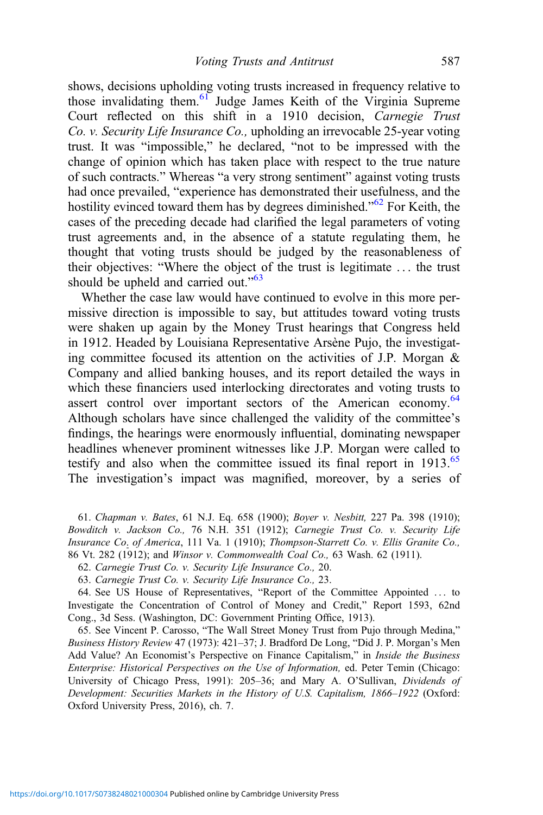shows, decisions upholding voting trusts increased in frequency relative to those invalidating them.<sup>61</sup> Judge James Keith of the Virginia Supreme Court reflected on this shift in a 1910 decision, Carnegie Trust Co. v. Security Life Insurance Co., upholding an irrevocable 25-year voting trust. It was "impossible," he declared, "not to be impressed with the change of opinion which has taken place with respect to the true nature of such contracts." Whereas "a very strong sentiment" against voting trusts had once prevailed, "experience has demonstrated their usefulness, and the hostility evinced toward them has by degrees diminished."<sup>62</sup> For Keith, the cases of the preceding decade had clarified the legal parameters of voting trust agreements and, in the absence of a statute regulating them, he thought that voting trusts should be judged by the reasonableness of their objectives: "Where the object of the trust is legitimate ... the trust should be upheld and carried out."<sup>63</sup>

Whether the case law would have continued to evolve in this more permissive direction is impossible to say, but attitudes toward voting trusts were shaken up again by the Money Trust hearings that Congress held in 1912. Headed by Louisiana Representative Arsène Pujo, the investigating committee focused its attention on the activities of J.P. Morgan & Company and allied banking houses, and its report detailed the ways in which these financiers used interlocking directorates and voting trusts to assert control over important sectors of the American economy.<sup>64</sup> Although scholars have since challenged the validity of the committee's findings, the hearings were enormously influential, dominating newspaper headlines whenever prominent witnesses like J.P. Morgan were called to testify and also when the committee issued its final report in  $1913.^{65}$ The investigation's impact was magnified, moreover, by a series of

61. Chapman v. Bates, 61 N.J. Eq. 658 (1900); Boyer v. Nesbitt, 227 Pa. 398 (1910); Bowditch v. Jackson Co., 76 N.H. 351 (1912); Carnegie Trust Co. v. Security Life Insurance Co. of America, 111 Va. 1 (1910); Thompson-Starrett Co. v. Ellis Granite Co., 86 Vt. 282 (1912); and Winsor v. Commonwealth Coal Co., 63 Wash. 62 (1911).

62. Carnegie Trust Co. v. Security Life Insurance Co., 20.

63. Carnegie Trust Co. v. Security Life Insurance Co., 23.

64. See US House of Representatives, "Report of the Committee Appointed ... to Investigate the Concentration of Control of Money and Credit," Report 1593, 62nd Cong., 3d Sess. (Washington, DC: Government Printing Office, 1913).

65. See Vincent P. Carosso, "The Wall Street Money Trust from Pujo through Medina," Business History Review 47 (1973): 421–37; J. Bradford De Long, "Did J. P. Morgan's Men Add Value? An Economist's Perspective on Finance Capitalism," in Inside the Business Enterprise: Historical Perspectives on the Use of Information, ed. Peter Temin (Chicago: University of Chicago Press, 1991): 205–36; and Mary A. O'Sullivan, Dividends of Development: Securities Markets in the History of U.S. Capitalism, 1866–1922 (Oxford: Oxford University Press, 2016), ch. 7.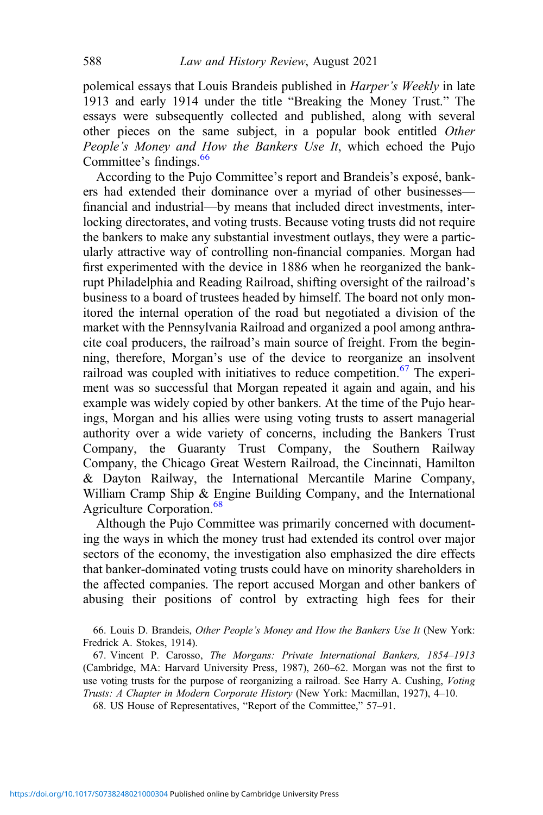polemical essays that Louis Brandeis published in Harper's Weekly in late 1913 and early 1914 under the title "Breaking the Money Trust." The essays were subsequently collected and published, along with several other pieces on the same subject, in a popular book entitled Other People's Money and How the Bankers Use It, which echoed the Pujo Committee's findings.<sup>66</sup>

According to the Pujo Committee's report and Brandeis's exposé, bankers had extended their dominance over a myriad of other businesses financial and industrial—by means that included direct investments, interlocking directorates, and voting trusts. Because voting trusts did not require the bankers to make any substantial investment outlays, they were a particularly attractive way of controlling non-financial companies. Morgan had first experimented with the device in 1886 when he reorganized the bankrupt Philadelphia and Reading Railroad, shifting oversight of the railroad's business to a board of trustees headed by himself. The board not only monitored the internal operation of the road but negotiated a division of the market with the Pennsylvania Railroad and organized a pool among anthracite coal producers, the railroad's main source of freight. From the beginning, therefore, Morgan's use of the device to reorganize an insolvent railroad was coupled with initiatives to reduce competition. $67$  The experiment was so successful that Morgan repeated it again and again, and his example was widely copied by other bankers. At the time of the Pujo hearings, Morgan and his allies were using voting trusts to assert managerial authority over a wide variety of concerns, including the Bankers Trust Company, the Guaranty Trust Company, the Southern Railway Company, the Chicago Great Western Railroad, the Cincinnati, Hamilton & Dayton Railway, the International Mercantile Marine Company, William Cramp Ship & Engine Building Company, and the International Agriculture Corporation.<sup>68</sup>

Although the Pujo Committee was primarily concerned with documenting the ways in which the money trust had extended its control over major sectors of the economy, the investigation also emphasized the dire effects that banker-dominated voting trusts could have on minority shareholders in the affected companies. The report accused Morgan and other bankers of abusing their positions of control by extracting high fees for their

<sup>66.</sup> Louis D. Brandeis, Other People's Money and How the Bankers Use It (New York: Fredrick A. Stokes, 1914).

<sup>67.</sup> Vincent P. Carosso, The Morgans: Private International Bankers, 1854–1913 (Cambridge, MA: Harvard University Press, 1987), 260–62. Morgan was not the first to use voting trusts for the purpose of reorganizing a railroad. See Harry A. Cushing, Voting Trusts: A Chapter in Modern Corporate History (New York: Macmillan, 1927), 4–10. 68. US House of Representatives, "Report of the Committee," 57–91.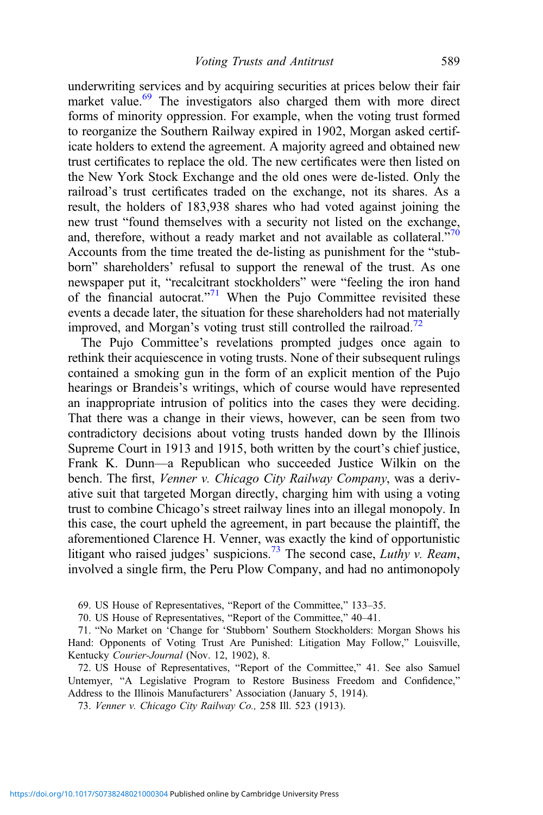underwriting services and by acquiring securities at prices below their fair market value.<sup>69</sup> The investigators also charged them with more direct forms of minority oppression. For example, when the voting trust formed to reorganize the Southern Railway expired in 1902, Morgan asked certificate holders to extend the agreement. A majority agreed and obtained new trust certificates to replace the old. The new certificates were then listed on the New York Stock Exchange and the old ones were de-listed. Only the railroad's trust certificates traded on the exchange, not its shares. As a result, the holders of 183,938 shares who had voted against joining the new trust "found themselves with a security not listed on the exchange, and, therefore, without a ready market and not available as collateral.<sup> $570$ </sup> Accounts from the time treated the de-listing as punishment for the "stubborn" shareholders' refusal to support the renewal of the trust. As one newspaper put it, "recalcitrant stockholders" were "feeling the iron hand of the financial autocrat."<sup>71</sup> When the Pujo Committee revisited these events a decade later, the situation for these shareholders had not materially improved, and Morgan's voting trust still controlled the railroad.<sup>72</sup>

The Pujo Committee's revelations prompted judges once again to rethink their acquiescence in voting trusts. None of their subsequent rulings contained a smoking gun in the form of an explicit mention of the Pujo hearings or Brandeis's writings, which of course would have represented an inappropriate intrusion of politics into the cases they were deciding. That there was a change in their views, however, can be seen from two contradictory decisions about voting trusts handed down by the Illinois Supreme Court in 1913 and 1915, both written by the court's chief justice, Frank K. Dunn—a Republican who succeeded Justice Wilkin on the bench. The first, Venner v. Chicago City Railway Company, was a derivative suit that targeted Morgan directly, charging him with using a voting trust to combine Chicago's street railway lines into an illegal monopoly. In this case, the court upheld the agreement, in part because the plaintiff, the aforementioned Clarence H. Venner, was exactly the kind of opportunistic litigant who raised judges' suspicions.<sup>73</sup> The second case, *Luthy v. Ream*, involved a single firm, the Peru Plow Company, and had no antimonopoly

69. US House of Representatives, "Report of the Committee," 133–35.

70. US House of Representatives, "Report of the Committee," 40–41.

71. "No Market on 'Change for 'Stubborn' Southern Stockholders: Morgan Shows his Hand: Opponents of Voting Trust Are Punished: Litigation May Follow," Louisville, Kentucky Courier-Journal (Nov. 12, 1902), 8.

72. US House of Representatives, "Report of the Committee," 41. See also Samuel Untemyer, "A Legislative Program to Restore Business Freedom and Confidence," Address to the Illinois Manufacturers' Association (January 5, 1914).

73. Venner v. Chicago City Railway Co., 258 Ill. 523 (1913).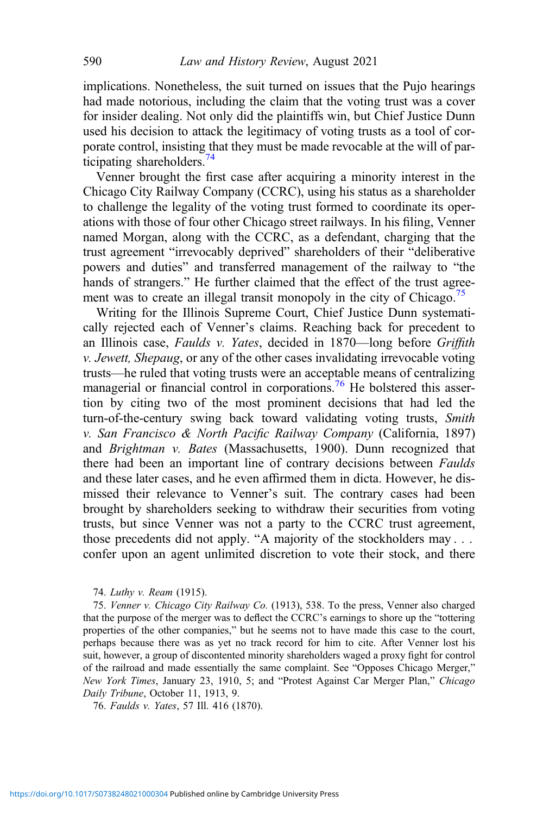implications. Nonetheless, the suit turned on issues that the Pujo hearings had made notorious, including the claim that the voting trust was a cover for insider dealing. Not only did the plaintiffs win, but Chief Justice Dunn used his decision to attack the legitimacy of voting trusts as a tool of corporate control, insisting that they must be made revocable at the will of participating shareholders. $^{74}$ 

Venner brought the first case after acquiring a minority interest in the Chicago City Railway Company (CCRC), using his status as a shareholder to challenge the legality of the voting trust formed to coordinate its operations with those of four other Chicago street railways. In his filing, Venner named Morgan, along with the CCRC, as a defendant, charging that the trust agreement "irrevocably deprived" shareholders of their "deliberative powers and duties" and transferred management of the railway to "the hands of strangers." He further claimed that the effect of the trust agreement was to create an illegal transit monopoly in the city of Chicago.<sup>75</sup>

Writing for the Illinois Supreme Court, Chief Justice Dunn systematically rejected each of Venner's claims. Reaching back for precedent to an Illinois case, Faulds v. Yates, decided in 1870—long before Griffith v. Jewett, Shepaug, or any of the other cases invalidating irrevocable voting trusts—he ruled that voting trusts were an acceptable means of centralizing managerial or financial control in corporations.<sup>76</sup> He bolstered this assertion by citing two of the most prominent decisions that had led the turn-of-the-century swing back toward validating voting trusts, Smith v. San Francisco & North Pacific Railway Company (California, 1897) and Brightman v. Bates (Massachusetts, 1900). Dunn recognized that there had been an important line of contrary decisions between Faulds and these later cases, and he even affirmed them in dicta. However, he dismissed their relevance to Venner's suit. The contrary cases had been brought by shareholders seeking to withdraw their securities from voting trusts, but since Venner was not a party to the CCRC trust agreement, those precedents did not apply. "A majority of the stockholders may . . . confer upon an agent unlimited discretion to vote their stock, and there

#### 74. Luthy v. Ream (1915).

75. Venner v. Chicago City Railway Co. (1913), 538. To the press, Venner also charged that the purpose of the merger was to deflect the CCRC's earnings to shore up the "tottering properties of the other companies," but he seems not to have made this case to the court, perhaps because there was as yet no track record for him to cite. After Venner lost his suit, however, a group of discontented minority shareholders waged a proxy fight for control of the railroad and made essentially the same complaint. See "Opposes Chicago Merger," New York Times, January 23, 1910, 5; and "Protest Against Car Merger Plan," Chicago Daily Tribune, October 11, 1913, 9.

76. Faulds v. Yates, 57 Ill. 416 (1870).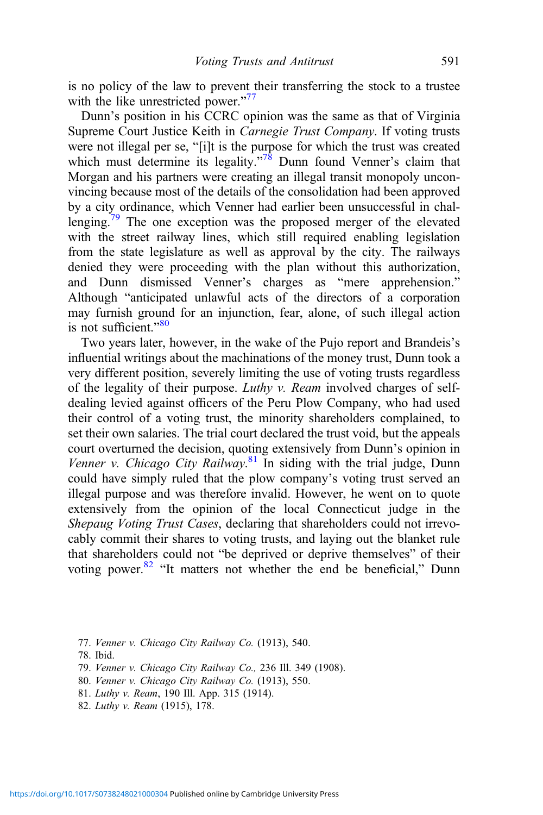is no policy of the law to prevent their transferring the stock to a trustee with the like unrestricted power."<sup>77</sup>

Dunn's position in his CCRC opinion was the same as that of Virginia Supreme Court Justice Keith in Carnegie Trust Company. If voting trusts were not illegal per se, "[i]t is the purpose for which the trust was created which must determine its legality."<sup>78</sup> Dunn found Venner's claim that Morgan and his partners were creating an illegal transit monopoly unconvincing because most of the details of the consolidation had been approved by a city ordinance, which Venner had earlier been unsuccessful in challenging.<sup>79</sup> The one exception was the proposed merger of the elevated with the street railway lines, which still required enabling legislation from the state legislature as well as approval by the city. The railways denied they were proceeding with the plan without this authorization, and Dunn dismissed Venner's charges as "mere apprehension." Although "anticipated unlawful acts of the directors of a corporation may furnish ground for an injunction, fear, alone, of such illegal action is not sufficient."<sup>80</sup>

Two years later, however, in the wake of the Pujo report and Brandeis's influential writings about the machinations of the money trust, Dunn took a very different position, severely limiting the use of voting trusts regardless of the legality of their purpose. Luthy v. Ream involved charges of selfdealing levied against officers of the Peru Plow Company, who had used their control of a voting trust, the minority shareholders complained, to set their own salaries. The trial court declared the trust void, but the appeals court overturned the decision, quoting extensively from Dunn's opinion in Venner v. Chicago City Railway.<sup>81</sup> In siding with the trial judge, Dunn could have simply ruled that the plow company's voting trust served an illegal purpose and was therefore invalid. However, he went on to quote extensively from the opinion of the local Connecticut judge in the Shepaug Voting Trust Cases, declaring that shareholders could not irrevocably commit their shares to voting trusts, and laying out the blanket rule that shareholders could not "be deprived or deprive themselves" of their voting power.<sup>82</sup> "It matters not whether the end be beneficial," Dunn

- 77. Venner v. Chicago City Railway Co. (1913), 540.
- 78. Ibid.
- 79. Venner v. Chicago City Railway Co., 236 Ill. 349 (1908).
- 80. Venner v. Chicago City Railway Co. (1913), 550.
- 81. Luthy v. Ream, 190 Ill. App. 315 (1914).
- 82. Luthy v. Ream (1915), 178.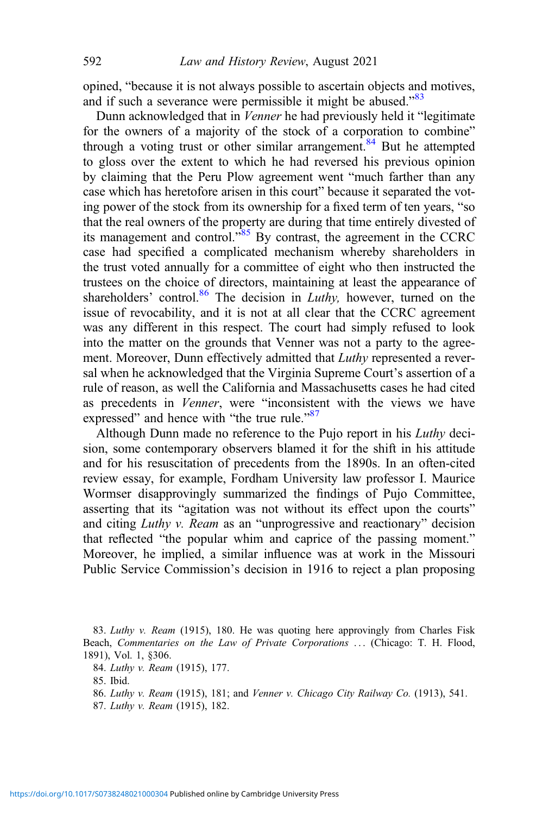opined, "because it is not always possible to ascertain objects and motives, and if such a severance were permissible it might be abused."<sup>83</sup>

Dunn acknowledged that in Venner he had previously held it "legitimate for the owners of a majority of the stock of a corporation to combine" through a voting trust or other similar arrangement.<sup>84</sup> But he attempted to gloss over the extent to which he had reversed his previous opinion by claiming that the Peru Plow agreement went "much farther than any case which has heretofore arisen in this court" because it separated the voting power of the stock from its ownership for a fixed term of ten years, "so that the real owners of the property are during that time entirely divested of its management and control."<sup>85</sup> By contrast, the agreement in the CCRC case had specified a complicated mechanism whereby shareholders in the trust voted annually for a committee of eight who then instructed the trustees on the choice of directors, maintaining at least the appearance of shareholders' control. $86$  The decision in *Luthy*, however, turned on the issue of revocability, and it is not at all clear that the CCRC agreement was any different in this respect. The court had simply refused to look into the matter on the grounds that Venner was not a party to the agreement. Moreover, Dunn effectively admitted that Luthy represented a reversal when he acknowledged that the Virginia Supreme Court's assertion of a rule of reason, as well the California and Massachusetts cases he had cited as precedents in Venner, were "inconsistent with the views we have expressed" and hence with "the true rule."<sup>87</sup>

Although Dunn made no reference to the Pujo report in his Luthy decision, some contemporary observers blamed it for the shift in his attitude and for his resuscitation of precedents from the 1890s. In an often-cited review essay, for example, Fordham University law professor I. Maurice Wormser disapprovingly summarized the findings of Pujo Committee, asserting that its "agitation was not without its effect upon the courts" and citing Luthy v. Ream as an "unprogressive and reactionary" decision that reflected "the popular whim and caprice of the passing moment." Moreover, he implied, a similar influence was at work in the Missouri Public Service Commission's decision in 1916 to reject a plan proposing

<sup>83.</sup> Luthy v. Ream (1915), 180. He was quoting here approvingly from Charles Fisk Beach, Commentaries on the Law of Private Corporations ... (Chicago: T. H. Flood, 1891), Vol. 1, §306.

<sup>84.</sup> Luthy v. Ream (1915), 177.

<sup>85.</sup> Ibid.

<sup>86.</sup> Luthy v. Ream (1915), 181; and Venner v. Chicago City Railway Co. (1913), 541.

<sup>87.</sup> Luthy v. Ream (1915), 182.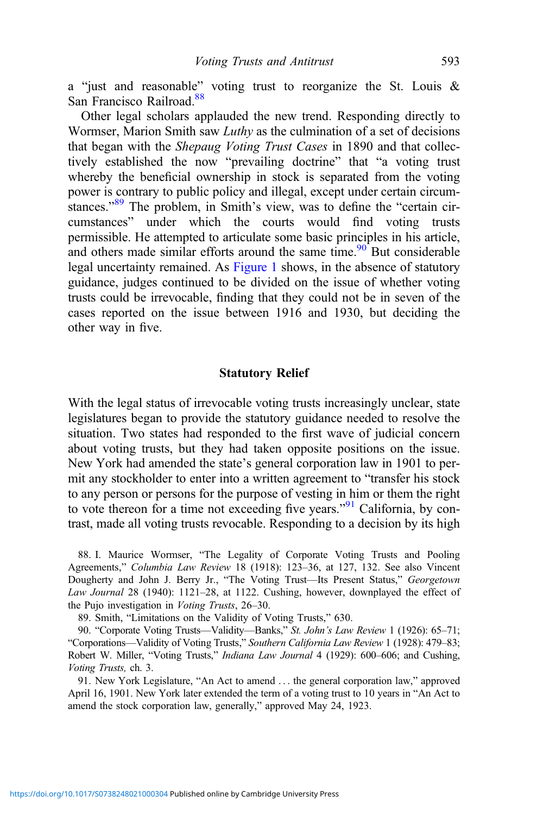a "just and reasonable" voting trust to reorganize the St. Louis & San Francisco Railroad.<sup>88</sup>

Other legal scholars applauded the new trend. Responding directly to Wormser, Marion Smith saw Luthy as the culmination of a set of decisions that began with the Shepaug Voting Trust Cases in 1890 and that collectively established the now "prevailing doctrine" that "a voting trust whereby the beneficial ownership in stock is separated from the voting power is contrary to public policy and illegal, except under certain circumstances."<sup>89</sup> The problem, in Smith's view, was to define the "certain circumstances" under which the courts would find voting trusts permissible. He attempted to articulate some basic principles in his article, and others made similar efforts around the same time. $90^\circ$  But considerable legal uncertainty remained. As [Figure 1](#page-18-0) shows, in the absence of statutory guidance, judges continued to be divided on the issue of whether voting trusts could be irrevocable, finding that they could not be in seven of the cases reported on the issue between 1916 and 1930, but deciding the other way in five.

#### Statutory Relief

With the legal status of irrevocable voting trusts increasingly unclear, state legislatures began to provide the statutory guidance needed to resolve the situation. Two states had responded to the first wave of judicial concern about voting trusts, but they had taken opposite positions on the issue. New York had amended the state's general corporation law in 1901 to permit any stockholder to enter into a written agreement to "transfer his stock to any person or persons for the purpose of vesting in him or them the right to vote thereon for a time not exceeding five years."<sup>91</sup> California, by contrast, made all voting trusts revocable. Responding to a decision by its high

88. I. Maurice Wormser, "The Legality of Corporate Voting Trusts and Pooling Agreements," Columbia Law Review 18 (1918): 123–36, at 127, 132. See also Vincent Dougherty and John J. Berry Jr., "The Voting Trust—Its Present Status," Georgetown Law Journal 28 (1940): 1121–28, at 1122. Cushing, however, downplayed the effect of the Pujo investigation in Voting Trusts, 26–30.

89. Smith, "Limitations on the Validity of Voting Trusts," 630.

90. "Corporate Voting Trusts—Validity—Banks," St. John's Law Review 1 (1926): 65-71; "Corporations—Validity of Voting Trusts," Southern California Law Review 1 (1928): 479–83; Robert W. Miller, "Voting Trusts," Indiana Law Journal 4 (1929): 600–606; and Cushing, Voting Trusts, ch. 3.

91. New York Legislature, "An Act to amend ... the general corporation law," approved April 16, 1901. New York later extended the term of a voting trust to 10 years in "An Act to amend the stock corporation law, generally," approved May 24, 1923.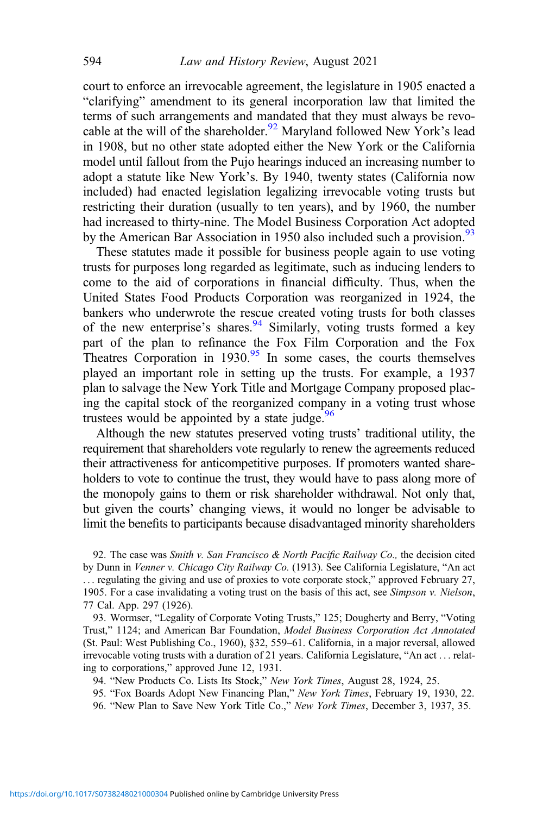court to enforce an irrevocable agreement, the legislature in 1905 enacted a "clarifying" amendment to its general incorporation law that limited the terms of such arrangements and mandated that they must always be revocable at the will of the shareholder.<sup>92</sup> Maryland followed New York's lead in 1908, but no other state adopted either the New York or the California model until fallout from the Pujo hearings induced an increasing number to adopt a statute like New York's. By 1940, twenty states (California now included) had enacted legislation legalizing irrevocable voting trusts but restricting their duration (usually to ten years), and by 1960, the number had increased to thirty-nine. The Model Business Corporation Act adopted by the American Bar Association in 1950 also included such a provision.<sup>93</sup>

These statutes made it possible for business people again to use voting trusts for purposes long regarded as legitimate, such as inducing lenders to come to the aid of corporations in financial difficulty. Thus, when the United States Food Products Corporation was reorganized in 1924, the bankers who underwrote the rescue created voting trusts for both classes of the new enterprise's shares. $94$  Similarly, voting trusts formed a key part of the plan to refinance the Fox Film Corporation and the Fox Theatres Corporation in  $1930.95$  In some cases, the courts themselves played an important role in setting up the trusts. For example, a 1937 plan to salvage the New York Title and Mortgage Company proposed placing the capital stock of the reorganized company in a voting trust whose trustees would be appointed by a state judge. $96$ 

Although the new statutes preserved voting trusts' traditional utility, the requirement that shareholders vote regularly to renew the agreements reduced their attractiveness for anticompetitive purposes. If promoters wanted shareholders to vote to continue the trust, they would have to pass along more of the monopoly gains to them or risk shareholder withdrawal. Not only that, but given the courts' changing views, it would no longer be advisable to limit the benefits to participants because disadvantaged minority shareholders

92. The case was Smith v. San Francisco & North Pacific Railway Co., the decision cited by Dunn in Venner v. Chicago City Railway Co. (1913). See California Legislature, "An act ... regulating the giving and use of proxies to vote corporate stock," approved February 27, 1905. For a case invalidating a voting trust on the basis of this act, see Simpson v. Nielson, 77 Cal. App. 297 (1926).

93. Wormser, "Legality of Corporate Voting Trusts," 125; Dougherty and Berry, "Voting Trust," 1124; and American Bar Foundation, Model Business Corporation Act Annotated (St. Paul: West Publishing Co., 1960), §32, 559–61. California, in a major reversal, allowed irrevocable voting trusts with a duration of 21 years. California Legislature, "An act ... relating to corporations," approved June 12, 1931.

94. "New Products Co. Lists Its Stock," New York Times, August 28, 1924, 25.

95. "Fox Boards Adopt New Financing Plan," New York Times, February 19, 1930, 22.

96. "New Plan to Save New York Title Co.," New York Times, December 3, 1937, 35.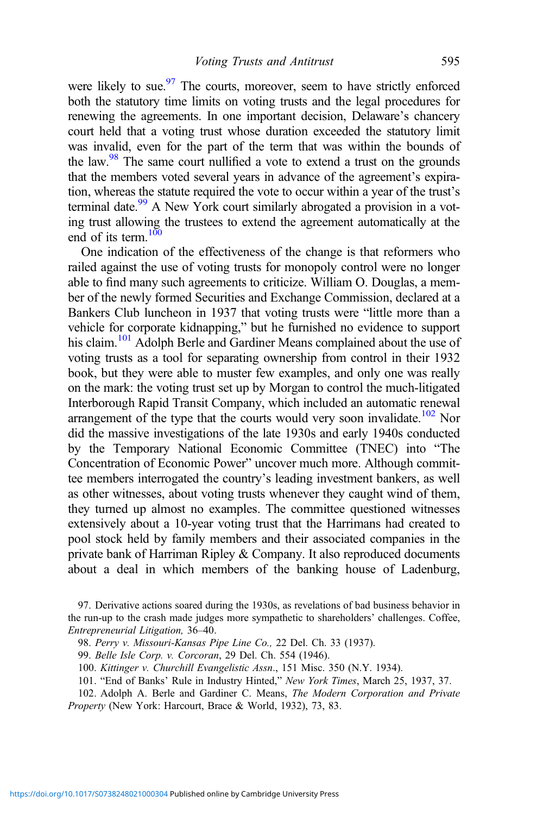were likely to sue. $\frac{97}{2}$  The courts, moreover, seem to have strictly enforced both the statutory time limits on voting trusts and the legal procedures for renewing the agreements. In one important decision, Delaware's chancery court held that a voting trust whose duration exceeded the statutory limit was invalid, even for the part of the term that was within the bounds of the law. $98$  The same court nullified a vote to extend a trust on the grounds that the members voted several years in advance of the agreement's expiration, whereas the statute required the vote to occur within a year of the trust's terminal date.<sup>99</sup> A New York court similarly abrogated a provision in a voting trust allowing the trustees to extend the agreement automatically at the end of its term. $100$ 

One indication of the effectiveness of the change is that reformers who railed against the use of voting trusts for monopoly control were no longer able to find many such agreements to criticize. William O. Douglas, a member of the newly formed Securities and Exchange Commission, declared at a Bankers Club luncheon in 1937 that voting trusts were "little more than a vehicle for corporate kidnapping," but he furnished no evidence to support his claim.<sup>101</sup> Adolph Berle and Gardiner Means complained about the use of voting trusts as a tool for separating ownership from control in their 1932 book, but they were able to muster few examples, and only one was really on the mark: the voting trust set up by Morgan to control the much-litigated Interborough Rapid Transit Company, which included an automatic renewal arrangement of the type that the courts would very soon invalidate.<sup>102</sup> Nor did the massive investigations of the late 1930s and early 1940s conducted by the Temporary National Economic Committee (TNEC) into "The Concentration of Economic Power" uncover much more. Although committee members interrogated the country's leading investment bankers, as well as other witnesses, about voting trusts whenever they caught wind of them, they turned up almost no examples. The committee questioned witnesses extensively about a 10-year voting trust that the Harrimans had created to pool stock held by family members and their associated companies in the private bank of Harriman Ripley & Company. It also reproduced documents about a deal in which members of the banking house of Ladenburg,

97. Derivative actions soared during the 1930s, as revelations of bad business behavior in the run-up to the crash made judges more sympathetic to shareholders' challenges. Coffee, Entrepreneurial Litigation, 36–40.

98. Perry v. Missouri-Kansas Pipe Line Co., 22 Del. Ch. 33 (1937).

99. Belle Isle Corp. v. Corcoran, 29 Del. Ch. 554 (1946).

100. Kittinger v. Churchill Evangelistic Assn., 151 Misc. 350 (N.Y. 1934).

101. "End of Banks' Rule in Industry Hinted," New York Times, March 25, 1937, 37.

102. Adolph A. Berle and Gardiner C. Means, The Modern Corporation and Private Property (New York: Harcourt, Brace & World, 1932), 73, 83.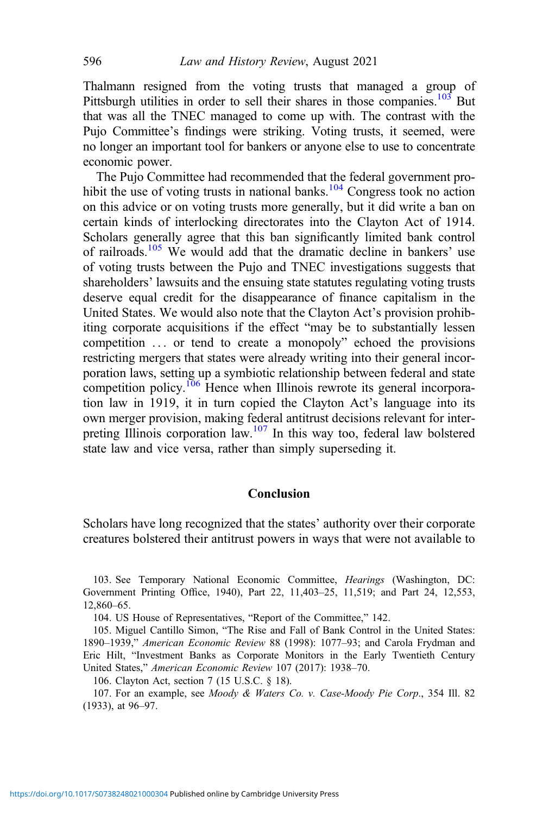Thalmann resigned from the voting trusts that managed a group of Pittsburgh utilities in order to sell their shares in those companies.<sup>103</sup> But that was all the TNEC managed to come up with. The contrast with the Pujo Committee's findings were striking. Voting trusts, it seemed, were no longer an important tool for bankers or anyone else to use to concentrate economic power.

The Pujo Committee had recommended that the federal government prohibit the use of voting trusts in national banks.<sup>104</sup> Congress took no action on this advice or on voting trusts more generally, but it did write a ban on certain kinds of interlocking directorates into the Clayton Act of 1914. Scholars generally agree that this ban significantly limited bank control of railroads.<sup>105</sup> We would add that the dramatic decline in bankers' use of voting trusts between the Pujo and TNEC investigations suggests that shareholders' lawsuits and the ensuing state statutes regulating voting trusts deserve equal credit for the disappearance of finance capitalism in the United States. We would also note that the Clayton Act's provision prohibiting corporate acquisitions if the effect "may be to substantially lessen competition ... or tend to create a monopoly" echoed the provisions restricting mergers that states were already writing into their general incorporation laws, setting up a symbiotic relationship between federal and state competition policy.<sup>106</sup> Hence when Illinois rewrote its general incorporation law in 1919, it in turn copied the Clayton Act's language into its own merger provision, making federal antitrust decisions relevant for interpreting Illinois corporation law.<sup>107</sup> In this way too, federal law bolstered state law and vice versa, rather than simply superseding it.

### Conclusion

Scholars have long recognized that the states' authority over their corporate creatures bolstered their antitrust powers in ways that were not available to

104. US House of Representatives, "Report of the Committee," 142.

105. Miguel Cantillo Simon, "The Rise and Fall of Bank Control in the United States: 1890–1939," American Economic Review 88 (1998): 1077–93; and Carola Frydman and Eric Hilt, "Investment Banks as Corporate Monitors in the Early Twentieth Century United States," American Economic Review 107 (2017): 1938–70.

106. Clayton Act, section 7 (15 U.S.C. § 18).

107. For an example, see Moody & Waters Co. v. Case-Moody Pie Corp., 354 Ill. 82 (1933), at 96–97.

<sup>103.</sup> See Temporary National Economic Committee, Hearings (Washington, DC: Government Printing Office, 1940), Part 22, 11,403–25, 11,519; and Part 24, 12,553, 12,860–65.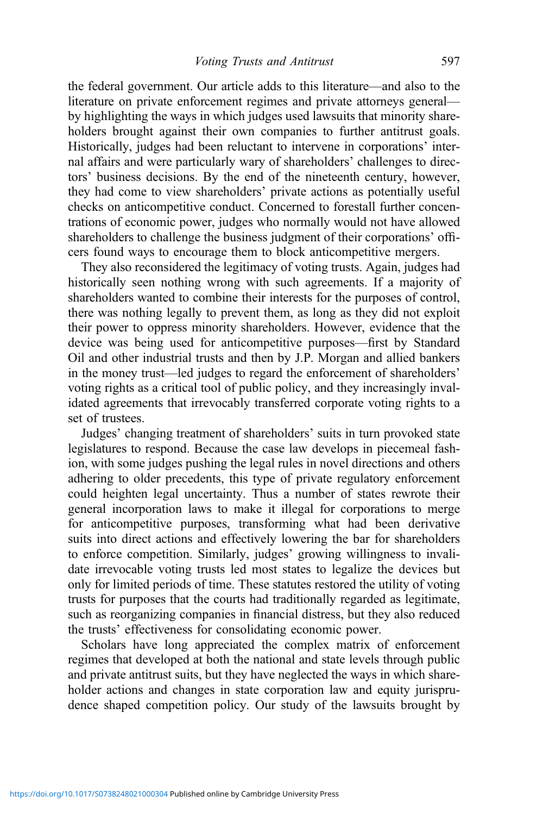the federal government. Our article adds to this literature—and also to the literature on private enforcement regimes and private attorneys general by highlighting the ways in which judges used lawsuits that minority shareholders brought against their own companies to further antitrust goals. Historically, judges had been reluctant to intervene in corporations' internal affairs and were particularly wary of shareholders' challenges to directors' business decisions. By the end of the nineteenth century, however, they had come to view shareholders' private actions as potentially useful checks on anticompetitive conduct. Concerned to forestall further concentrations of economic power, judges who normally would not have allowed shareholders to challenge the business judgment of their corporations' officers found ways to encourage them to block anticompetitive mergers.

They also reconsidered the legitimacy of voting trusts. Again, judges had historically seen nothing wrong with such agreements. If a majority of shareholders wanted to combine their interests for the purposes of control, there was nothing legally to prevent them, as long as they did not exploit their power to oppress minority shareholders. However, evidence that the device was being used for anticompetitive purposes—first by Standard Oil and other industrial trusts and then by J.P. Morgan and allied bankers in the money trust—led judges to regard the enforcement of shareholders' voting rights as a critical tool of public policy, and they increasingly invalidated agreements that irrevocably transferred corporate voting rights to a set of trustees.

Judges' changing treatment of shareholders' suits in turn provoked state legislatures to respond. Because the case law develops in piecemeal fashion, with some judges pushing the legal rules in novel directions and others adhering to older precedents, this type of private regulatory enforcement could heighten legal uncertainty. Thus a number of states rewrote their general incorporation laws to make it illegal for corporations to merge for anticompetitive purposes, transforming what had been derivative suits into direct actions and effectively lowering the bar for shareholders to enforce competition. Similarly, judges' growing willingness to invalidate irrevocable voting trusts led most states to legalize the devices but only for limited periods of time. These statutes restored the utility of voting trusts for purposes that the courts had traditionally regarded as legitimate, such as reorganizing companies in financial distress, but they also reduced the trusts' effectiveness for consolidating economic power.

Scholars have long appreciated the complex matrix of enforcement regimes that developed at both the national and state levels through public and private antitrust suits, but they have neglected the ways in which shareholder actions and changes in state corporation law and equity jurisprudence shaped competition policy. Our study of the lawsuits brought by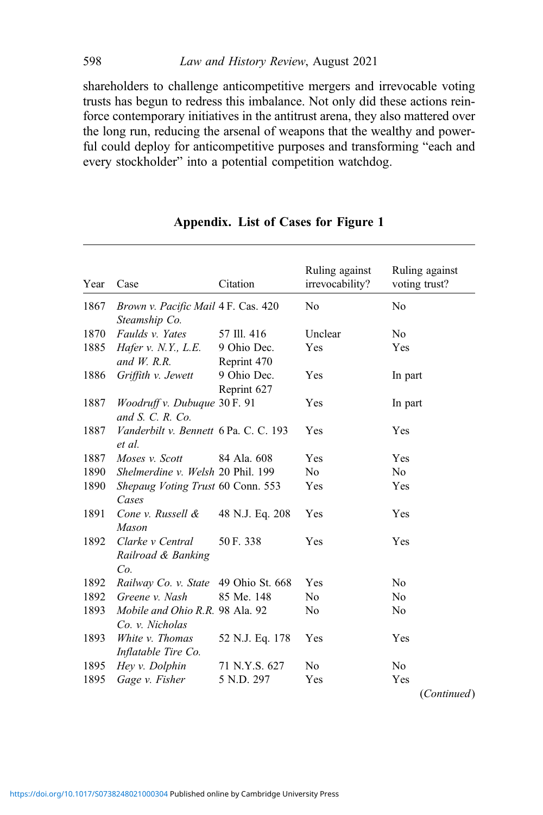shareholders to challenge anticompetitive mergers and irrevocable voting trusts has begun to redress this imbalance. Not only did these actions reinforce contemporary initiatives in the antitrust arena, they also mattered over the long run, reducing the arsenal of weapons that the wealthy and powerful could deploy for anticompetitive purposes and transforming "each and every stockholder" into a potential competition watchdog.

| Year | Case                                                 | Citation                   | Ruling against<br>irrevocability? | Ruling against<br>voting trust? |
|------|------------------------------------------------------|----------------------------|-----------------------------------|---------------------------------|
| 1867 | Brown v. Pacific Mail 4 F. Cas. 420<br>Steamship Co. |                            | N <sub>0</sub>                    | No                              |
| 1870 | Faulds v. Yates                                      | 57 Ill. 416                | Unclear                           | N <sub>0</sub>                  |
| 1885 | Hafer $v. N.Y., L.E.$<br>and $W$ . R.R.              | 9 Ohio Dec.<br>Reprint 470 | Yes                               | Yes                             |
| 1886 | Griffith v. Jewett                                   | 9 Ohio Dec.<br>Reprint 627 | Yes                               | In part                         |
| 1887 | Woodruff v. Dubuque 30 F. 91<br>and $S. C. R. Co.$   |                            | Yes                               | In part                         |
| 1887 | Vanderbilt v. Bennett 6 Pa. C. C. 193<br>et al.      |                            | Yes                               | Yes                             |
| 1887 | Moses v. Scott                                       | 84 Ala, 608                | Yes                               | Yes                             |
| 1890 | Shelmerdine v. Welsh 20 Phil. 199                    |                            | No.                               | No                              |
| 1890 | Shepaug Voting Trust 60 Conn. 553<br>Cases           |                            | Yes                               | Yes                             |
| 1891 | Cone v. Russell &<br><b>Mason</b>                    | 48 N.J. Eq. 208            | Yes                               | Yes                             |
| 1892 | Clarke v Central<br>Railroad & Banking<br>Co.        | 50 F. 338                  | Yes                               | Yes                             |
| 1892 | Railway Co. v. State                                 | 49 Ohio St. 668            | Yes                               | No                              |
| 1892 | Greene v. Nash                                       | 85 Me. 148                 | No                                | No                              |
| 1893 | Mobile and Ohio R.R. 98 Ala. 92<br>Co. v. Nicholas   |                            | No                                | No                              |
| 1893 | White v. Thomas<br>Inflatable Tire Co.               | 52 N.J. Eq. 178            | Yes                               | Yes                             |
| 1895 | Hey v. Dolphin                                       | 71 N.Y.S. 627              | No                                | No                              |
| 1895 | Gage v. Fisher                                       | 5 N.D. 297                 | Yes                               | Yes                             |
|      |                                                      |                            |                                   | (Continued)                     |

# Appendix. List of Cases for Figure 1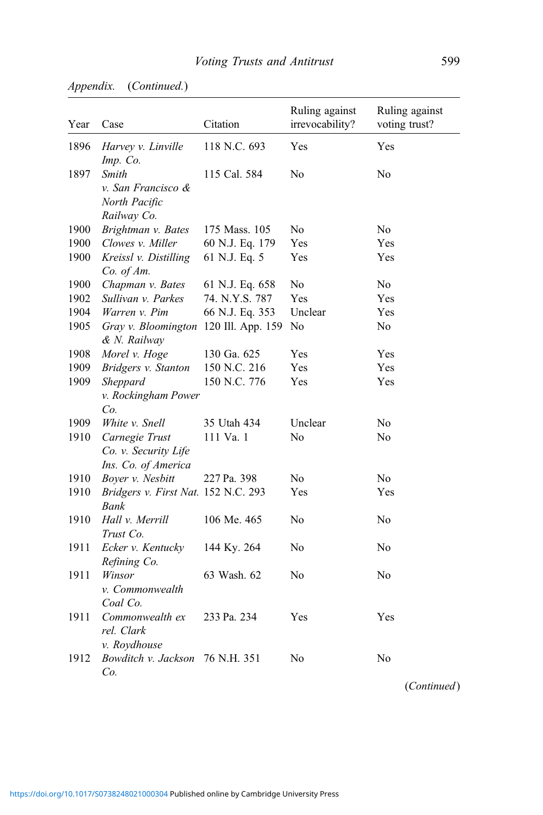| Year | Case                                                          | Citation        | Ruling against<br>irrevocability? | Ruling against<br>voting trust? |
|------|---------------------------------------------------------------|-----------------|-----------------------------------|---------------------------------|
| 1896 | Harvey v. Linville<br>Imp. Co.                                | 118 N.C. 693    | Yes                               | Yes                             |
| 1897 | Smith<br>v. San Francisco &<br>North Pacific<br>Railway Co.   | 115 Cal. 584    | No                                | No                              |
| 1900 | Brightman v. Bates                                            | 175 Mass. 105   | No                                | No                              |
| 1900 | Clowes v. Miller                                              | 60 N.J. Eq. 179 | Yes                               | Yes                             |
| 1900 | Kreissl v. Distilling<br>Co. of Am.                           | 61 N.J. Eq. 5   | Yes                               | Yes                             |
| 1900 | Chapman v. Bates                                              | 61 N.J. Eq. 658 | No                                | No                              |
| 1902 | Sullivan v. Parkes                                            | 74. N.Y.S. 787  | Yes                               | Yes                             |
| 1904 | Warren v. Pim                                                 | 66 N.J. Eq. 353 | Unclear                           | Yes                             |
| 1905 | Gray v. Bloomington 120 Ill. App. 159<br>& N. Railway         |                 | No                                | No                              |
| 1908 | Morel v. Hoge                                                 | 130 Ga. 625     | Yes                               | Yes                             |
| 1909 | Bridgers v. Stanton                                           | 150 N.C. 216    | Yes                               | Yes                             |
| 1909 | Sheppard<br>v. Rockingham Power<br>Co.                        | 150 N.C. 776    | Yes                               | Yes                             |
| 1909 | White v. Snell                                                | 35 Utah 434     | Unclear                           | No                              |
| 1910 | Carnegie Trust<br>Co. v. Security Life<br>Ins. Co. of America | 111 Va. 1       | No                                | No                              |
| 1910 | Boyer v. Nesbitt                                              | 227 Pa. 398     | No                                | No                              |
| 1910 | Bridgers v. First Nat. 152 N.C. 293<br>Bank                   |                 | Yes                               | Yes                             |
| 1910 | Hall v. Merrill<br>Trust Co.                                  | 106 Me. 465     | No                                | No                              |
| 1911 | Ecker v. Kentucky<br>Refining Co.                             | 144 Ky. 264     | No                                | No                              |
| 1911 | Winsor<br>v. Commonwealth<br>Coal Co.                         | 63 Wash, 62     | No                                | No                              |
| 1911 | Commonwealth ex<br>rel. Clark<br>v. Roydhouse                 | 233 Pa. 234     | Yes                               | Yes                             |
| 1912 | Bowditch v. Jackson 76 N.H. 351<br>Co.                        |                 | No                                | No                              |

Appendix. (Continued.)

(Continued)